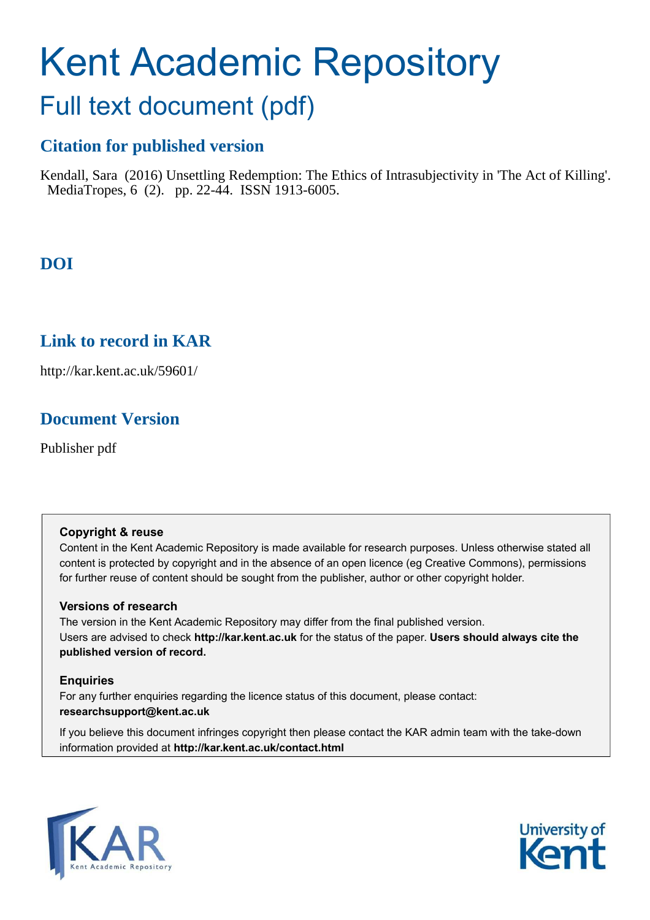# Kent Academic Repository

## Full text document (pdf)

## **Citation for published version**

Kendall, Sara (2016) Unsettling Redemption: The Ethics of Intrasubjectivity in 'The Act of Killing'. MediaTropes, 6 (2). pp. 22-44. ISSN 1913-6005.

## **DOI**

## **Link to record in KAR**

http://kar.kent.ac.uk/59601/

## **Document Version**

Publisher pdf

#### **Copyright & reuse**

Content in the Kent Academic Repository is made available for research purposes. Unless otherwise stated all content is protected by copyright and in the absence of an open licence (eg Creative Commons), permissions for further reuse of content should be sought from the publisher, author or other copyright holder.

#### **Versions of research**

The version in the Kent Academic Repository may differ from the final published version. Users are advised to check **http://kar.kent.ac.uk** for the status of the paper. **Users should always cite the published version of record.**

#### **Enquiries**

For any further enquiries regarding the licence status of this document, please contact: **researchsupport@kent.ac.uk**

If you believe this document infringes copyright then please contact the KAR admin team with the take-down information provided at **http://kar.kent.ac.uk/contact.html**



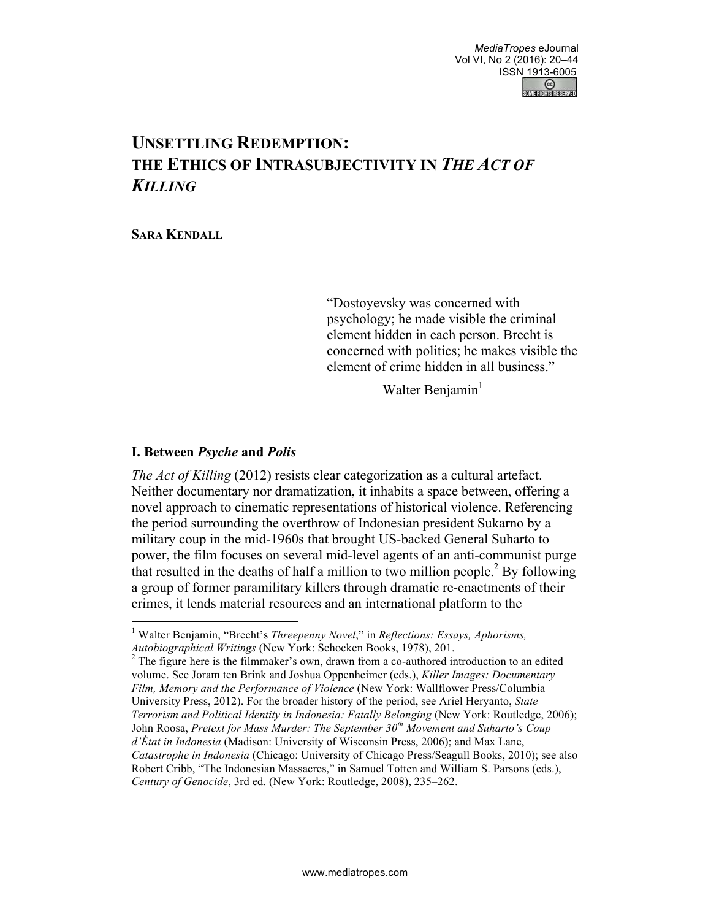### **UNSETTLING REDEMPTION: THE ETHICS OF INTRASUBJECTIVITY IN** *THE ACT OF KILLING*

**SARA KENDALL**

"Dostoyevsky was concerned with psychology; he made visible the criminal element hidden in each person. Brecht is concerned with politics; he makes visible the element of crime hidden in all business."

—Walter Benjamin $<sup>1</sup>$ </sup>

#### **I. Between** *Psyche* **and** *Polis*

 $\overline{a}$ 

*The Act of Killing* (2012) resists clear categorization as a cultural artefact. Neither documentary nor dramatization, it inhabits a space between, offering a novel approach to cinematic representations of historical violence. Referencing the period surrounding the overthrow of Indonesian president Sukarno by a military coup in the mid-1960s that brought US-backed General Suharto to power, the film focuses on several mid-level agents of an anti-communist purge that resulted in the deaths of half a million to two million people.<sup>2</sup> By following a group of former paramilitary killers through dramatic re-enactments of their crimes, it lends material resources and an international platform to the

<sup>1</sup> Walter Benjamin, "Brecht's *Threepenny Novel*," in *Reflections: Essays, Aphorisms, Autobiographical Writings* (New York: Schocken Books, 1978), 201.

 $2^2$  The figure here is the filmmaker's own, drawn from a co-authored introduction to an edited volume. See Joram ten Brink and Joshua Oppenheimer (eds.), *Killer Images: Documentary Film, Memory and the Performance of Violence* (New York: Wallflower Press/Columbia University Press, 2012). For the broader history of the period, see Ariel Heryanto, *State Terrorism and Political Identity in Indonesia: Fatally Belonging* (New York: Routledge, 2006); John Roosa, *Pretext for Mass Murder: The September 30th Movement and Suharto's Coup d'État in Indonesia* (Madison: University of Wisconsin Press, 2006); and Max Lane, *Catastrophe in Indonesia* (Chicago: University of Chicago Press/Seagull Books, 2010); see also Robert Cribb, "The Indonesian Massacres," in Samuel Totten and William S. Parsons (eds.), *Century of Genocide*, 3rd ed. (New York: Routledge, 2008), 235–262.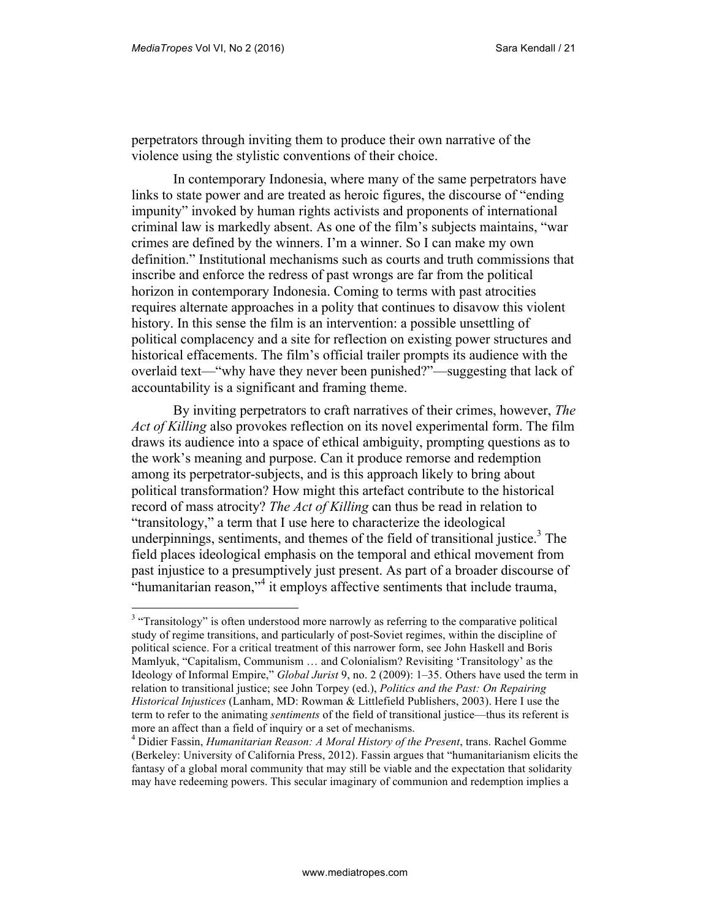$\overline{a}$ 

perpetrators through inviting them to produce their own narrative of the violence using the stylistic conventions of their choice.

In contemporary Indonesia, where many of the same perpetrators have links to state power and are treated as heroic figures, the discourse of "ending impunity" invoked by human rights activists and proponents of international criminal law is markedly absent. As one of the film's subjects maintains, "war crimes are defined by the winners. I'm a winner. So I can make my own definition." Institutional mechanisms such as courts and truth commissions that inscribe and enforce the redress of past wrongs are far from the political horizon in contemporary Indonesia. Coming to terms with past atrocities requires alternate approaches in a polity that continues to disavow this violent history. In this sense the film is an intervention: a possible unsettling of political complacency and a site for reflection on existing power structures and historical effacements. The film's official trailer prompts its audience with the overlaid text—"why have they never been punished?"—suggesting that lack of accountability is a significant and framing theme.

By inviting perpetrators to craft narratives of their crimes, however, *The Act of Killing* also provokes reflection on its novel experimental form. The film draws its audience into a space of ethical ambiguity, prompting questions as to the work's meaning and purpose. Can it produce remorse and redemption among its perpetrator-subjects, and is this approach likely to bring about political transformation? How might this artefact contribute to the historical record of mass atrocity? *The Act of Killing* can thus be read in relation to "transitology," a term that I use here to characterize the ideological underpinnings, sentiments, and themes of the field of transitional justice.<sup>3</sup> The field places ideological emphasis on the temporal and ethical movement from past injustice to a presumptively just present. As part of a broader discourse of "humanitarian reason,"<sup>4</sup> it employs affective sentiments that include trauma,

<sup>&</sup>lt;sup>3</sup> "Transitology" is often understood more narrowly as referring to the comparative political study of regime transitions, and particularly of post-Soviet regimes, within the discipline of political science. For a critical treatment of this narrower form, see John Haskell and Boris Mamlyuk, "Capitalism, Communism … and Colonialism? Revisiting 'Transitology' as the Ideology of Informal Empire," *Global Jurist* 9, no. 2 (2009): 1–35. Others have used the term in relation to transitional justice; see John Torpey (ed.), *Politics and the Past: On Repairing Historical Injustices* (Lanham, MD: Rowman & Littlefield Publishers, 2003). Here I use the term to refer to the animating *sentiments* of the field of transitional justice—thus its referent is more an affect than a field of inquiry or a set of mechanisms.

<sup>4</sup> Didier Fassin, *Humanitarian Reason: A Moral History of the Present*, trans. Rachel Gomme (Berkeley: University of California Press, 2012). Fassin argues that "humanitarianism elicits the fantasy of a global moral community that may still be viable and the expectation that solidarity may have redeeming powers. This secular imaginary of communion and redemption implies a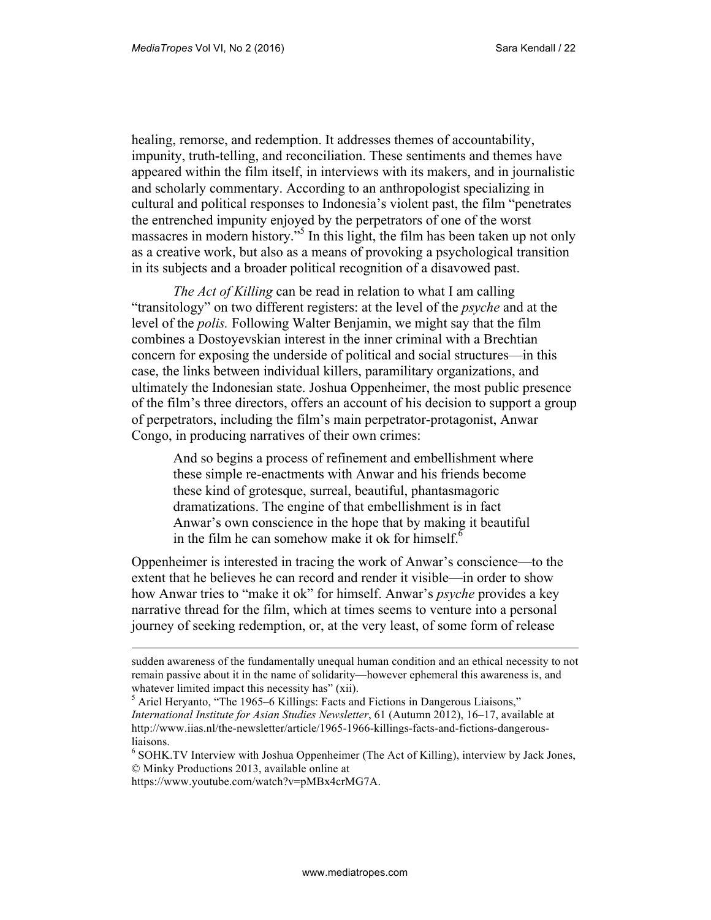healing, remorse, and redemption. It addresses themes of accountability, impunity, truth-telling, and reconciliation. These sentiments and themes have appeared within the film itself, in interviews with its makers, and in journalistic and scholarly commentary. According to an anthropologist specializing in cultural and political responses to Indonesia's violent past, the film "penetrates the entrenched impunity enjoyed by the perpetrators of one of the worst massacres in modern history."<sup>5</sup> In this light, the film has been taken up not only as a creative work, but also as a means of provoking a psychological transition in its subjects and a broader political recognition of a disavowed past.

*The Act of Killing* can be read in relation to what I am calling "transitology" on two different registers: at the level of the *psyche* and at the level of the *polis.* Following Walter Benjamin, we might say that the film combines a Dostoyevskian interest in the inner criminal with a Brechtian concern for exposing the underside of political and social structures—in this case, the links between individual killers, paramilitary organizations, and ultimately the Indonesian state. Joshua Oppenheimer, the most public presence of the film's three directors, offers an account of his decision to support a group of perpetrators, including the film's main perpetrator-protagonist, Anwar Congo, in producing narratives of their own crimes:

And so begins a process of refinement and embellishment where these simple re-enactments with Anwar and his friends become these kind of grotesque, surreal, beautiful, phantasmagoric dramatizations. The engine of that embellishment is in fact Anwar's own conscience in the hope that by making it beautiful in the film he can somehow make it ok for himself. $<sup>6</sup>$ </sup>

Oppenheimer is interested in tracing the work of Anwar's conscience—to the extent that he believes he can record and render it visible—in order to show how Anwar tries to "make it ok" for himself. Anwar's *psyche* provides a key narrative thread for the film, which at times seems to venture into a personal journey of seeking redemption, or, at the very least, of some form of release

sudden awareness of the fundamentally unequal human condition and an ethical necessity to not remain passive about it in the name of solidarity—however ephemeral this awareness is, and whatever limited impact this necessity has" (xii).

<sup>&</sup>lt;sup>5</sup> Ariel Heryanto, "The 1965–6 Killings: Facts and Fictions in Dangerous Liaisons," *International Institute for Asian Studies Newsletter*, 61 (Autumn 2012), 16–17, available at http://www.iias.nl/the-newsletter/article/1965-1966-killings-facts-and-fictions-dangerousliaisons.

<sup>&</sup>lt;sup>6</sup> SOHK.TV Interview with Joshua Oppenheimer (The Act of Killing), interview by Jack Jones, © Minky Productions 2013, available online at

https://www.youtube.com/watch?v=pMBx4crMG7A.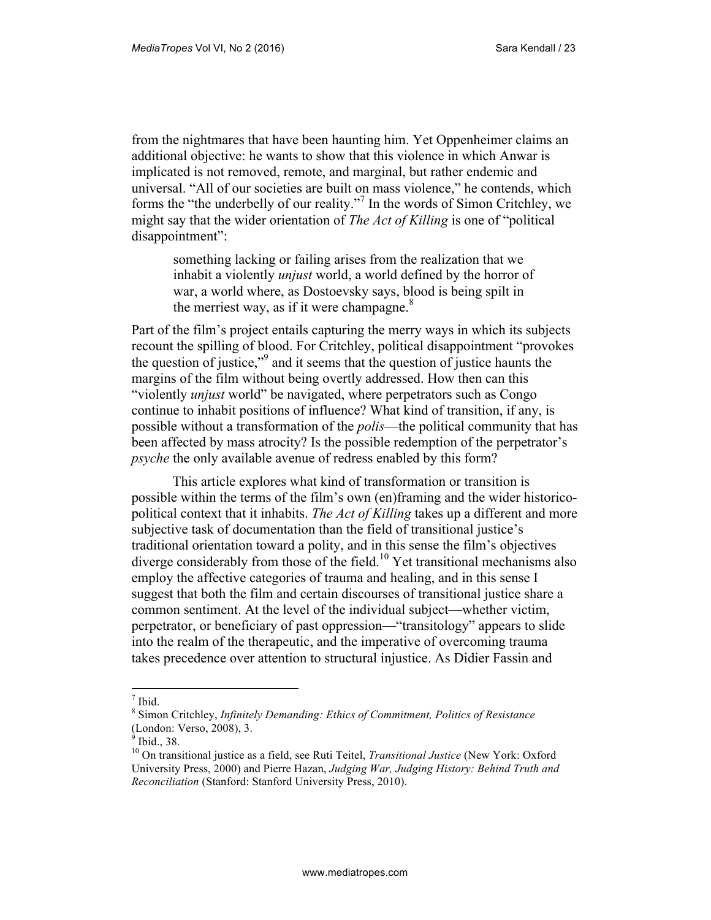from the nightmares that have been haunting him. Yet Oppenheimer claims an additional objective: he wants to show that this violence in which Anwar is implicated is not removed, remote, and marginal, but rather endemic and universal. "All of our societies are built on mass violence," he contends, which forms the "the underbelly of our reality."<sup>7</sup> In the words of Simon Critchley, we might say that the wider orientation of *The Act of Killing* is one of "political disappointment":

something lacking or failing arises from the realization that we inhabit a violently *unjust* world, a world defined by the horror of war, a world where, as Dostoevsky says, blood is being spilt in the merriest way, as if it were champagne. $8<sup>8</sup>$ 

Part of the film's project entails capturing the merry ways in which its subjects recount the spilling of blood. For Critchley, political disappointment "provokes the question of justice,"<sup>9</sup> and it seems that the question of justice haunts the margins of the film without being overtly addressed. How then can this "violently *unjust* world" be navigated, where perpetrators such as Congo continue to inhabit positions of influence? What kind of transition, if any, is possible without a transformation of the *polis*—the political community that has been affected by mass atrocity? Is the possible redemption of the perpetrator's *psyche* the only available avenue of redress enabled by this form?

This article explores what kind of transformation or transition is possible within the terms of the film's own (en)framing and the wider historicopolitical context that it inhabits. *The Act of Killing* takes up a different and more subjective task of documentation than the field of transitional justice's traditional orientation toward a polity, and in this sense the film's objectives diverge considerably from those of the field.<sup>10</sup> Yet transitional mechanisms also employ the affective categories of trauma and healing, and in this sense I suggest that both the film and certain discourses of transitional justice share a common sentiment. At the level of the individual subject—whether victim, perpetrator, or beneficiary of past oppression—"transitology" appears to slide into the realm of the therapeutic, and the imperative of overcoming trauma takes precedence over attention to structural injustice. As Didier Fassin and

 $\frac{1}{7}$  Ibid.

<sup>8</sup> Simon Critchley, *Infinitely Demanding: Ethics of Commitment, Politics of Resistance* (London: Verso, 2008), 3.

 $<sup>9</sup>$  Ibid., 38.</sup>

<sup>10</sup> On transitional justice as a field, see Ruti Teitel, *Transitional Justice* (New York: Oxford University Press, 2000) and Pierre Hazan, *Judging War, Judging History: Behind Truth and Reconciliation* (Stanford: Stanford University Press, 2010).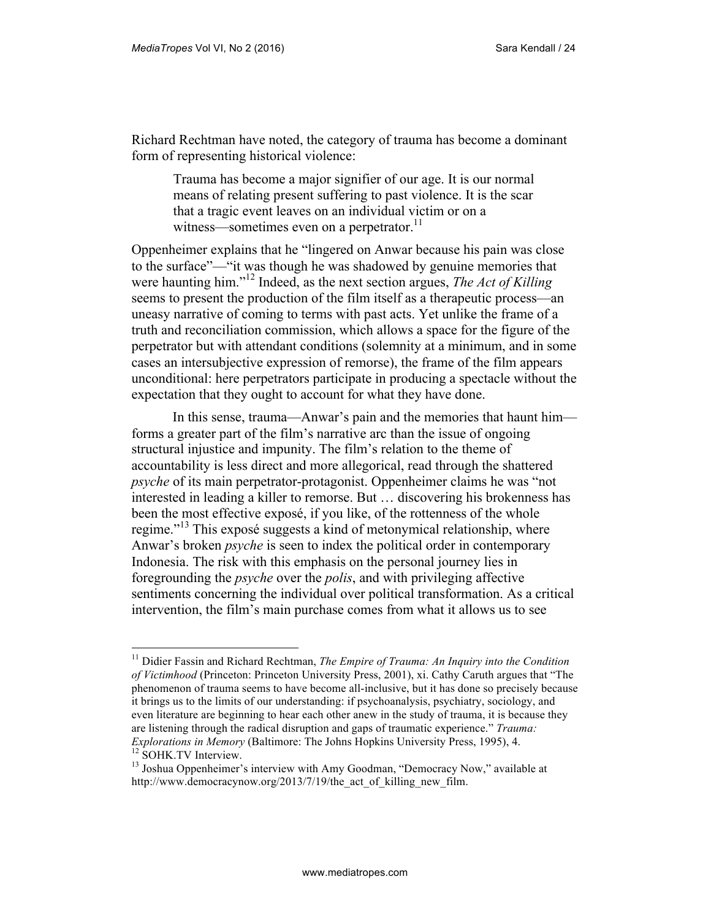Richard Rechtman have noted, the category of trauma has become a dominant form of representing historical violence:

Trauma has become a major signifier of our age. It is our normal means of relating present suffering to past violence. It is the scar that a tragic event leaves on an individual victim or on a witness—sometimes even on a perpetrator.<sup>11</sup>

Oppenheimer explains that he "lingered on Anwar because his pain was close to the surface"—"it was though he was shadowed by genuine memories that were haunting him."<sup>12</sup> Indeed, as the next section argues, *The Act of Killing*  seems to present the production of the film itself as a therapeutic process—an uneasy narrative of coming to terms with past acts. Yet unlike the frame of a truth and reconciliation commission, which allows a space for the figure of the perpetrator but with attendant conditions (solemnity at a minimum, and in some cases an intersubjective expression of remorse), the frame of the film appears unconditional: here perpetrators participate in producing a spectacle without the expectation that they ought to account for what they have done.

In this sense, trauma—Anwar's pain and the memories that haunt him forms a greater part of the film's narrative arc than the issue of ongoing structural injustice and impunity. The film's relation to the theme of accountability is less direct and more allegorical, read through the shattered *psyche* of its main perpetrator-protagonist. Oppenheimer claims he was "not interested in leading a killer to remorse. But … discovering his brokenness has been the most effective exposé, if you like, of the rottenness of the whole regime."<sup>13</sup> This exposé suggests a kind of metonymical relationship, where Anwar's broken *psyche* is seen to index the political order in contemporary Indonesia. The risk with this emphasis on the personal journey lies in foregrounding the *psyche* over the *polis*, and with privileging affective sentiments concerning the individual over political transformation. As a critical intervention, the film's main purchase comes from what it allows us to see

<sup>11</sup> Didier Fassin and Richard Rechtman, *The Empire of Trauma: An Inquiry into the Condition of Victimhood* (Princeton: Princeton University Press, 2001), xi. Cathy Caruth argues that "The phenomenon of trauma seems to have become all-inclusive, but it has done so precisely because it brings us to the limits of our understanding: if psychoanalysis, psychiatry, sociology, and even literature are beginning to hear each other anew in the study of trauma, it is because they are listening through the radical disruption and gaps of traumatic experience." *Trauma: Explorations in Memory* (Baltimore: The Johns Hopkins University Press, 1995), 4.

<sup>&</sup>lt;sup>12</sup> SOHK.TV Interview.

 $13$  Joshua Oppenheimer's interview with Amy Goodman, "Democracy Now," available at http://www.democracynow.org/2013/7/19/the\_act\_of\_killing\_new\_film.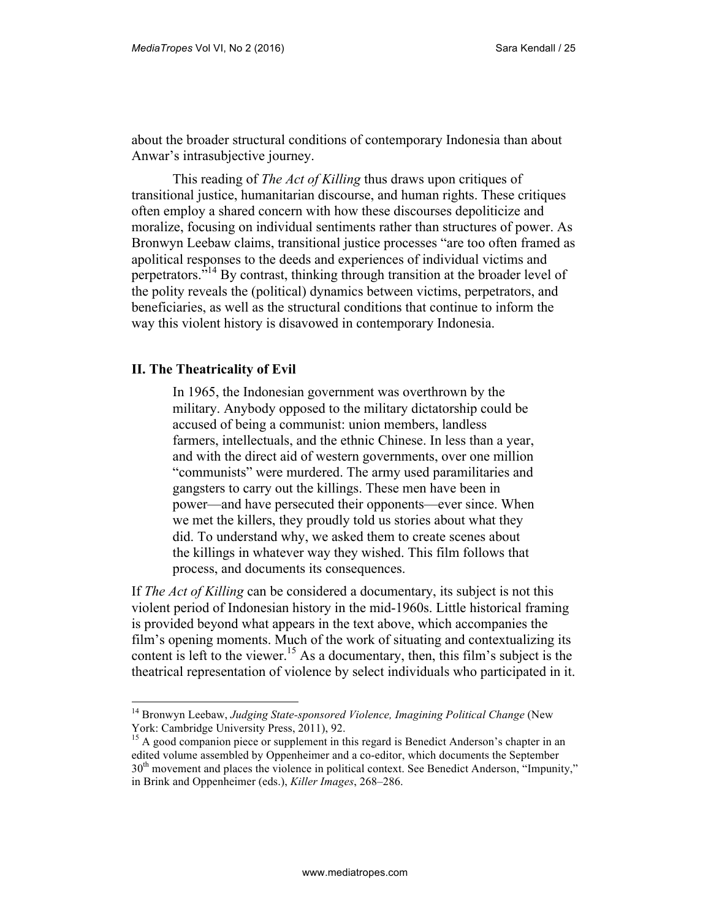about the broader structural conditions of contemporary Indonesia than about Anwar's intrasubjective journey.

This reading of *The Act of Killing* thus draws upon critiques of transitional justice, humanitarian discourse, and human rights. These critiques often employ a shared concern with how these discourses depoliticize and moralize, focusing on individual sentiments rather than structures of power. As Bronwyn Leebaw claims, transitional justice processes "are too often framed as apolitical responses to the deeds and experiences of individual victims and perpetrators."<sup>14</sup> By contrast, thinking through transition at the broader level of the polity reveals the (political) dynamics between victims, perpetrators, and beneficiaries, as well as the structural conditions that continue to inform the way this violent history is disavowed in contemporary Indonesia.

#### **II. The Theatricality of Evil**

 $\overline{a}$ 

In 1965, the Indonesian government was overthrown by the military. Anybody opposed to the military dictatorship could be accused of being a communist: union members, landless farmers, intellectuals, and the ethnic Chinese. In less than a year, and with the direct aid of western governments, over one million "communists" were murdered. The army used paramilitaries and gangsters to carry out the killings. These men have been in power—and have persecuted their opponents—ever since. When we met the killers, they proudly told us stories about what they did. To understand why, we asked them to create scenes about the killings in whatever way they wished. This film follows that process, and documents its consequences.

If *The Act of Killing* can be considered a documentary, its subject is not this violent period of Indonesian history in the mid-1960s. Little historical framing is provided beyond what appears in the text above, which accompanies the film's opening moments. Much of the work of situating and contextualizing its content is left to the viewer.<sup>15</sup> As a documentary, then, this film's subject is the theatrical representation of violence by select individuals who participated in it.

<sup>&</sup>lt;sup>14</sup> Bronwyn Leebaw, Judging State-sponsored Violence, Imagining Political Change (New York: Cambridge University Press, 2011), 92.

<sup>&</sup>lt;sup>15</sup> A good companion piece or supplement in this regard is Benedict Anderson's chapter in an edited volume assembled by Oppenheimer and a co-editor, which documents the September 30th movement and places the violence in political context. See Benedict Anderson, "Impunity," in Brink and Oppenheimer (eds.), *Killer Images*, 268–286.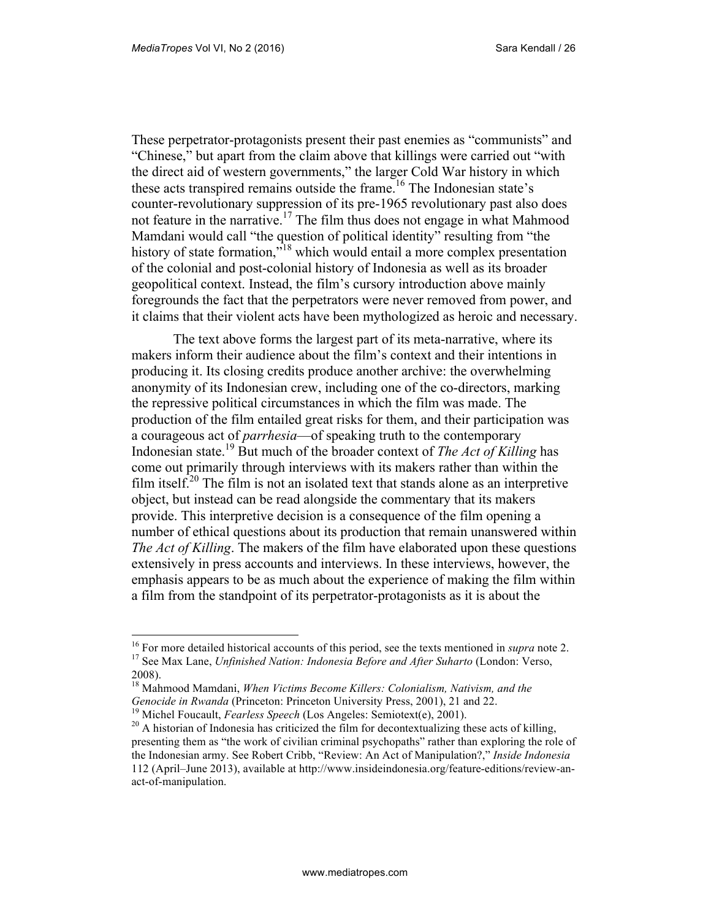These perpetrator-protagonists present their past enemies as "communists" and "Chinese," but apart from the claim above that killings were carried out "with the direct aid of western governments," the larger Cold War history in which these acts transpired remains outside the frame.<sup>16</sup> The Indonesian state's counter-revolutionary suppression of its pre-1965 revolutionary past also does not feature in the narrative.<sup>17</sup> The film thus does not engage in what Mahmood Mamdani would call "the question of political identity" resulting from "the history of state formation,"<sup>18</sup> which would entail a more complex presentation of the colonial and post-colonial history of Indonesia as well as its broader geopolitical context. Instead, the film's cursory introduction above mainly foregrounds the fact that the perpetrators were never removed from power, and it claims that their violent acts have been mythologized as heroic and necessary.

The text above forms the largest part of its meta-narrative, where its makers inform their audience about the film's context and their intentions in producing it. Its closing credits produce another archive: the overwhelming anonymity of its Indonesian crew, including one of the co-directors, marking the repressive political circumstances in which the film was made. The production of the film entailed great risks for them, and their participation was a courageous act of *parrhesia*—of speaking truth to the contemporary Indonesian state.<sup>19</sup> But much of the broader context of *The Act of Killing* has come out primarily through interviews with its makers rather than within the film itself.<sup>20</sup> The film is not an isolated text that stands alone as an interpretive object, but instead can be read alongside the commentary that its makers provide. This interpretive decision is a consequence of the film opening a number of ethical questions about its production that remain unanswered within *The Act of Killing*. The makers of the film have elaborated upon these questions extensively in press accounts and interviews. In these interviews, however, the emphasis appears to be as much about the experience of making the film within a film from the standpoint of its perpetrator-protagonists as it is about the

<sup>16</sup> For more detailed historical accounts of this period, see the texts mentioned in *supra* note 2. <sup>17</sup> See Max Lane, *Unfinished Nation: Indonesia Before and After Suharto* (London: Verso, 2008).

<sup>18</sup> Mahmood Mamdani, *When Victims Become Killers: Colonialism, Nativism, and the Genocide in Rwanda* (Princeton: Princeton University Press, 2001), 21 and 22.

<sup>&</sup>lt;sup>19</sup> Michel Foucault, *Fearless Speech* (Los Angeles: Semiotext(e), 2001).

<sup>&</sup>lt;sup>20</sup> A historian of Indonesia has criticized the film for decontextualizing these acts of killing, presenting them as "the work of civilian criminal psychopaths" rather than exploring the role of the Indonesian army. See Robert Cribb, "Review: An Act of Manipulation?," *Inside Indonesia* 112 (April–June 2013), available at http://www.insideindonesia.org/feature-editions/review-anact-of-manipulation.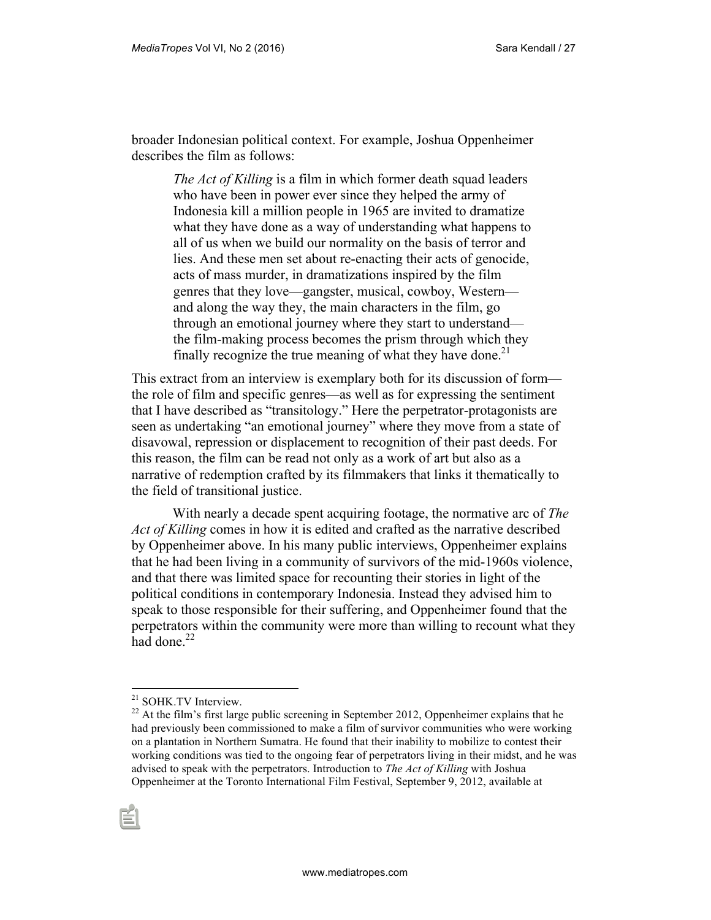broader Indonesian political context. For example, Joshua Oppenheimer describes the film as follows:

> *The Act of Killing* is a film in which former death squad leaders who have been in power ever since they helped the army of Indonesia kill a million people in 1965 are invited to dramatize what they have done as a way of understanding what happens to all of us when we build our normality on the basis of terror and lies. And these men set about re-enacting their acts of genocide, acts of mass murder, in dramatizations inspired by the film genres that they love—gangster, musical, cowboy, Western and along the way they, the main characters in the film, go through an emotional journey where they start to understand the film-making process becomes the prism through which they finally recognize the true meaning of what they have done.<sup>21</sup>

This extract from an interview is exemplary both for its discussion of form the role of film and specific genres—as well as for expressing the sentiment that I have described as "transitology." Here the perpetrator-protagonists are seen as undertaking "an emotional journey" where they move from a state of disavowal, repression or displacement to recognition of their past deeds. For this reason, the film can be read not only as a work of art but also as a narrative of redemption crafted by its filmmakers that links it thematically to the field of transitional justice.

With nearly a decade spent acquiring footage, the normative arc of *The Act of Killing* comes in how it is edited and crafted as the narrative described by Oppenheimer above. In his many public interviews, Oppenheimer explains that he had been living in a community of survivors of the mid-1960s violence, and that there was limited space for recounting their stories in light of the political conditions in contemporary Indonesia. Instead they advised him to speak to those responsible for their suffering, and Oppenheimer found that the perpetrators within the community were more than willing to recount what they had done.<sup>22</sup>

<sup>21</sup> SOHK.TV Interview.

 $22$  At the film's first large public screening in September 2012, Oppenheimer explains that he had previously been commissioned to make a film of survivor communities who were working on a plantation in Northern Sumatra. He found that their inability to mobilize to contest their working conditions was tied to the ongoing fear of perpetrators living in their midst, and he was advised to speak with the perpetrators. Introduction to *The Act of Killing* with Joshua Oppenheimer at the Toronto International Film Festival, September 9, 2012, available at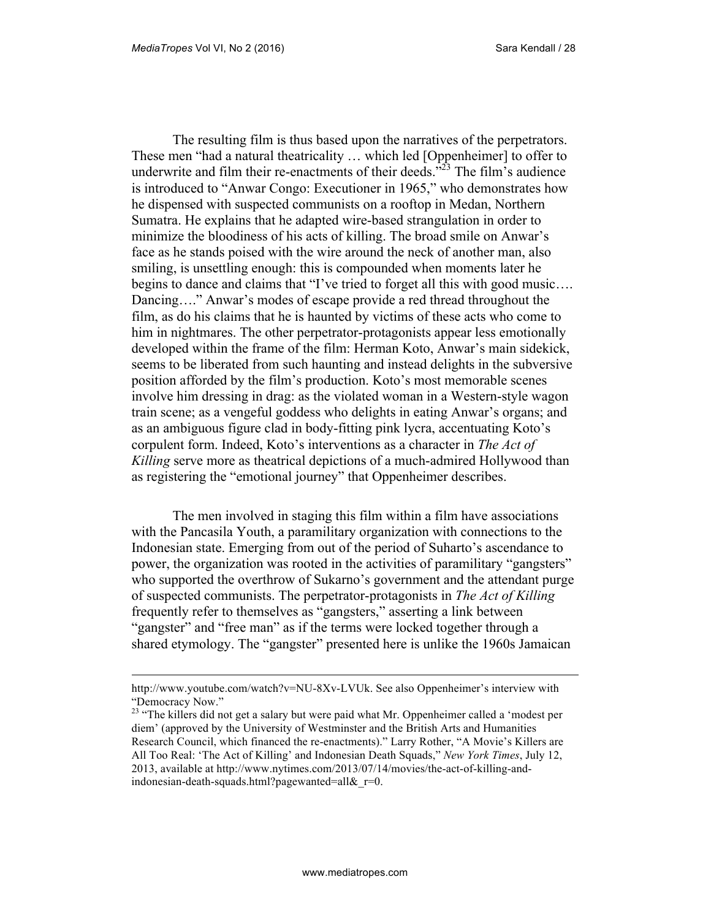The resulting film is thus based upon the narratives of the perpetrators. These men "had a natural theatricality … which led [Oppenheimer] to offer to underwrite and film their re-enactments of their deeds."<sup>23</sup> The film's audience is introduced to "Anwar Congo: Executioner in 1965," who demonstrates how he dispensed with suspected communists on a rooftop in Medan, Northern Sumatra. He explains that he adapted wire-based strangulation in order to minimize the bloodiness of his acts of killing. The broad smile on Anwar's face as he stands poised with the wire around the neck of another man, also smiling, is unsettling enough: this is compounded when moments later he begins to dance and claims that "I've tried to forget all this with good music…. Dancing…." Anwar's modes of escape provide a red thread throughout the film, as do his claims that he is haunted by victims of these acts who come to him in nightmares. The other perpetrator-protagonists appear less emotionally developed within the frame of the film: Herman Koto, Anwar's main sidekick, seems to be liberated from such haunting and instead delights in the subversive position afforded by the film's production. Koto's most memorable scenes involve him dressing in drag: as the violated woman in a Western-style wagon train scene; as a vengeful goddess who delights in eating Anwar's organs; and as an ambiguous figure clad in body-fitting pink lycra, accentuating Koto's corpulent form. Indeed, Koto's interventions as a character in *The Act of Killing* serve more as theatrical depictions of a much-admired Hollywood than as registering the "emotional journey" that Oppenheimer describes.

The men involved in staging this film within a film have associations with the Pancasila Youth, a paramilitary organization with connections to the Indonesian state. Emerging from out of the period of Suharto's ascendance to power, the organization was rooted in the activities of paramilitary "gangsters" who supported the overthrow of Sukarno's government and the attendant purge of suspected communists. The perpetrator-protagonists in *The Act of Killing* frequently refer to themselves as "gangsters," asserting a link between "gangster" and "free man" as if the terms were locked together through a shared etymology. The "gangster" presented here is unlike the 1960s Jamaican

http://www.youtube.com/watch?v=NU-8Xv-LVUk. See also Oppenheimer's interview with "Democracy Now."

<sup>&</sup>lt;sup>23</sup> "The killers did not get a salary but were paid what Mr. Oppenheimer called a 'modest per diem' (approved by the University of Westminster and the British Arts and Humanities Research Council, which financed the re-enactments)." Larry Rother, "A Movie's Killers are All Too Real: 'The Act of Killing' and Indonesian Death Squads," *New York Times*, July 12, 2013, available at http://www.nytimes.com/2013/07/14/movies/the-act-of-killing-andindonesian-death-squads.html?pagewanted=all $\&$ r=0.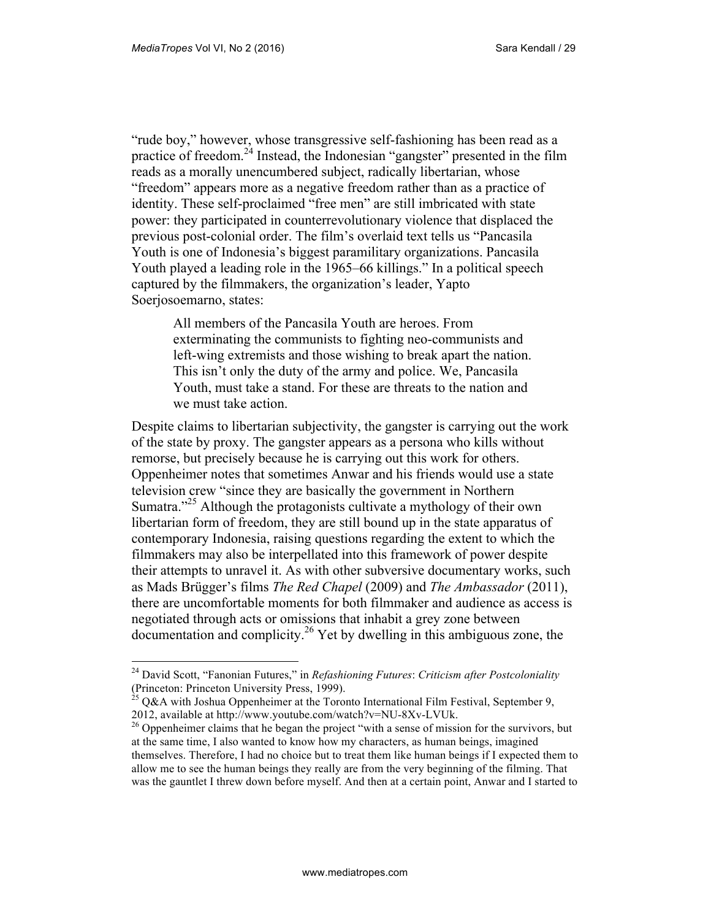"rude boy," however, whose transgressive self-fashioning has been read as a practice of freedom.<sup>24</sup> Instead, the Indonesian "gangster" presented in the film reads as a morally unencumbered subject, radically libertarian, whose "freedom" appears more as a negative freedom rather than as a practice of identity. These self-proclaimed "free men" are still imbricated with state power: they participated in counterrevolutionary violence that displaced the previous post-colonial order. The film's overlaid text tells us "Pancasila Youth is one of Indonesia's biggest paramilitary organizations. Pancasila Youth played a leading role in the 1965–66 killings." In a political speech captured by the filmmakers, the organization's leader, Yapto Soerjosoemarno, states:

All members of the Pancasila Youth are heroes. From exterminating the communists to fighting neo-communists and left-wing extremists and those wishing to break apart the nation. This isn't only the duty of the army and police. We, Pancasila Youth, must take a stand. For these are threats to the nation and we must take action.

Despite claims to libertarian subjectivity, the gangster is carrying out the work of the state by proxy. The gangster appears as a persona who kills without remorse, but precisely because he is carrying out this work for others. Oppenheimer notes that sometimes Anwar and his friends would use a state television crew "since they are basically the government in Northern Sumatra.<sup>25</sup> Although the protagonists cultivate a mythology of their own libertarian form of freedom, they are still bound up in the state apparatus of contemporary Indonesia, raising questions regarding the extent to which the filmmakers may also be interpellated into this framework of power despite their attempts to unravel it. As with other subversive documentary works, such as Mads Brügger's films *The Red Chapel* (2009) and *The Ambassador* (2011), there are uncomfortable moments for both filmmaker and audience as access is negotiated through acts or omissions that inhabit a grey zone between  $\alpha$  documentation and complicity.<sup>26</sup> Yet by dwelling in this ambiguous zone, the

<sup>24</sup> David Scott, "Fanonian Futures," in *Refashioning Futures*: *Criticism after Postcoloniality* (Princeton: Princeton University Press, 1999).

<sup>&</sup>lt;sup>25</sup> Q&A with Joshua Oppenheimer at the Toronto International Film Festival, September 9, 2012, available at http://www.youtube.com/watch?v=NU-8Xv-LVUk.

<sup>&</sup>lt;sup>26</sup> Oppenheimer claims that he began the project "with a sense of mission for the survivors, but at the same time, I also wanted to know how my characters, as human beings, imagined themselves. Therefore, I had no choice but to treat them like human beings if I expected them to allow me to see the human beings they really are from the very beginning of the filming. That was the gauntlet I threw down before myself. And then at a certain point, Anwar and I started to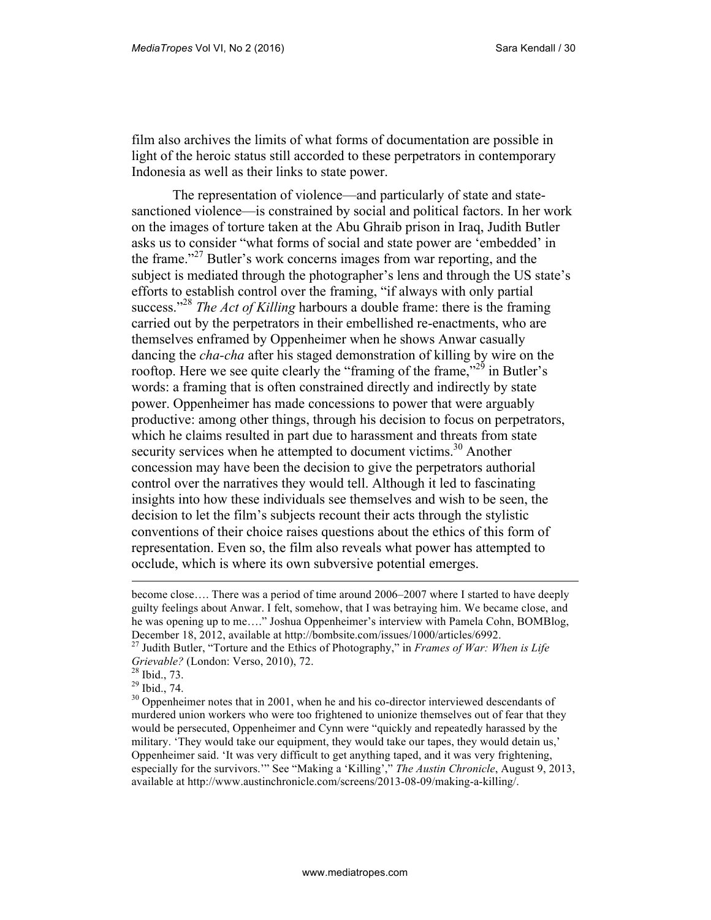film also archives the limits of what forms of documentation are possible in light of the heroic status still accorded to these perpetrators in contemporary Indonesia as well as their links to state power.

The representation of violence—and particularly of state and statesanctioned violence—is constrained by social and political factors. In her work on the images of torture taken at the Abu Ghraib prison in Iraq, Judith Butler asks us to consider "what forms of social and state power are 'embedded' in the frame."<sup>27</sup> Butler's work concerns images from war reporting, and the subject is mediated through the photographer's lens and through the US state's efforts to establish control over the framing, "if always with only partial success."<sup>28</sup> *The Act of Killing* harbours a double frame: there is the framing carried out by the perpetrators in their embellished re-enactments, who are themselves enframed by Oppenheimer when he shows Anwar casually dancing the *cha-cha* after his staged demonstration of killing by wire on the rooftop. Here we see quite clearly the "framing of the frame,"<sup>29</sup> in Butler's words: a framing that is often constrained directly and indirectly by state power. Oppenheimer has made concessions to power that were arguably productive: among other things, through his decision to focus on perpetrators, which he claims resulted in part due to harassment and threats from state security services when he attempted to document victims.<sup>30</sup> Another concession may have been the decision to give the perpetrators authorial control over the narratives they would tell. Although it led to fascinating insights into how these individuals see themselves and wish to be seen, the decision to let the film's subjects recount their acts through the stylistic conventions of their choice raises questions about the ethics of this form of representation. Even so, the film also reveals what power has attempted to occlude, which is where its own subversive potential emerges.

become close…. There was a period of time around 2006–2007 where I started to have deeply guilty feelings about Anwar. I felt, somehow, that I was betraying him. We became close, and he was opening up to me…." Joshua Oppenheimer's interview with Pamela Cohn, BOMBlog, December 18, 2012, available at http://bombsite.com/issues/1000/articles/6992.

<sup>27</sup> Judith Butler, "Torture and the Ethics of Photography," in *Frames of War: When is Life Grievable?* (London: Verso, 2010), 72.

<sup>28</sup> Ibid., 73.

<sup>29</sup> Ibid., 74.

 $30$  Oppenheimer notes that in 2001, when he and his co-director interviewed descendants of murdered union workers who were too frightened to unionize themselves out of fear that they would be persecuted, Oppenheimer and Cynn were "quickly and repeatedly harassed by the military. 'They would take our equipment, they would take our tapes, they would detain us,' Oppenheimer said. 'It was very difficult to get anything taped, and it was very frightening, especially for the survivors.'" See "Making a 'Killing'," *The Austin Chronicle*, August 9, 2013, available at http://www.austinchronicle.com/screens/2013-08-09/making-a-killing/.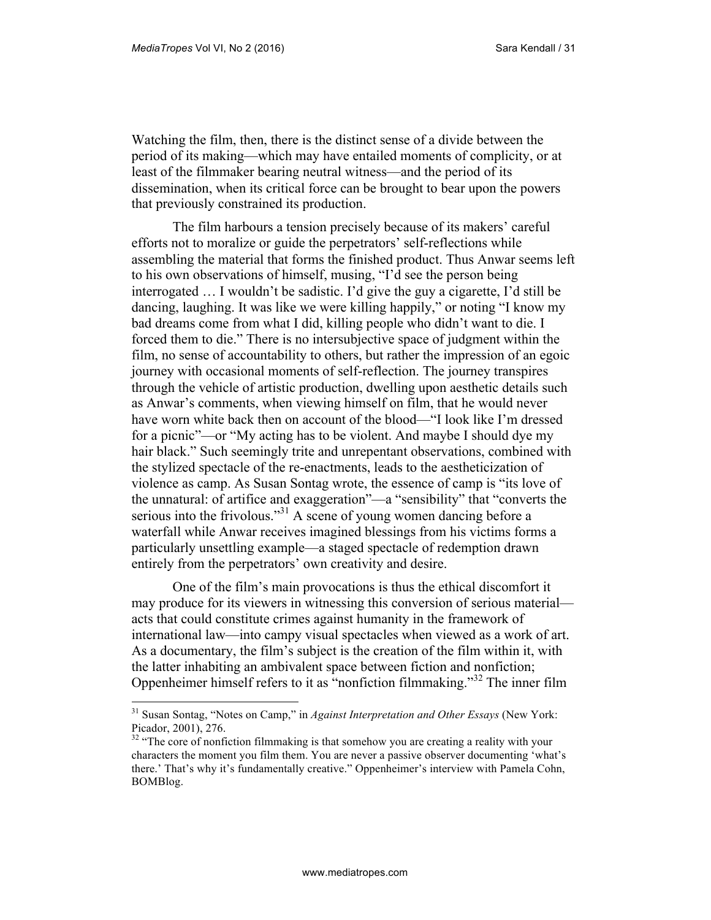$\overline{a}$ 

Watching the film, then, there is the distinct sense of a divide between the period of its making—which may have entailed moments of complicity, or at least of the filmmaker bearing neutral witness—and the period of its dissemination, when its critical force can be brought to bear upon the powers that previously constrained its production.

The film harbours a tension precisely because of its makers' careful efforts not to moralize or guide the perpetrators' self-reflections while assembling the material that forms the finished product. Thus Anwar seems left to his own observations of himself, musing, "I'd see the person being interrogated … I wouldn't be sadistic. I'd give the guy a cigarette, I'd still be dancing, laughing. It was like we were killing happily," or noting "I know my bad dreams come from what I did, killing people who didn't want to die. I forced them to die." There is no intersubjective space of judgment within the film, no sense of accountability to others, but rather the impression of an egoic journey with occasional moments of self-reflection. The journey transpires through the vehicle of artistic production, dwelling upon aesthetic details such as Anwar's comments, when viewing himself on film, that he would never have worn white back then on account of the blood—"I look like I'm dressed for a picnic"—or "My acting has to be violent. And maybe I should dye my hair black." Such seemingly trite and unrepentant observations, combined with the stylized spectacle of the re-enactments, leads to the aestheticization of violence as camp. As Susan Sontag wrote, the essence of camp is "its love of the unnatural: of artifice and exaggeration"—a "sensibility" that "converts the serious into the frivolous."<sup>31</sup> A scene of young women dancing before a waterfall while Anwar receives imagined blessings from his victims forms a particularly unsettling example—a staged spectacle of redemption drawn entirely from the perpetrators' own creativity and desire.

One of the film's main provocations is thus the ethical discomfort it may produce for its viewers in witnessing this conversion of serious material acts that could constitute crimes against humanity in the framework of international law—into campy visual spectacles when viewed as a work of art. As a documentary, the film's subject is the creation of the film within it, with the latter inhabiting an ambivalent space between fiction and nonfiction; Oppenheimer himself refers to it as "nonfiction filmmaking."<sup>32</sup> The inner film

<sup>31</sup> Susan Sontag, "Notes on Camp," in *Against Interpretation and Other Essays* (New York: Picador, 2001), 276.

 $32$  "The core of nonfiction filmmaking is that somehow you are creating a reality with your characters the moment you film them. You are never a passive observer documenting 'what's there.' That's why it's fundamentally creative." Oppenheimer's interview with Pamela Cohn, BOMBlog.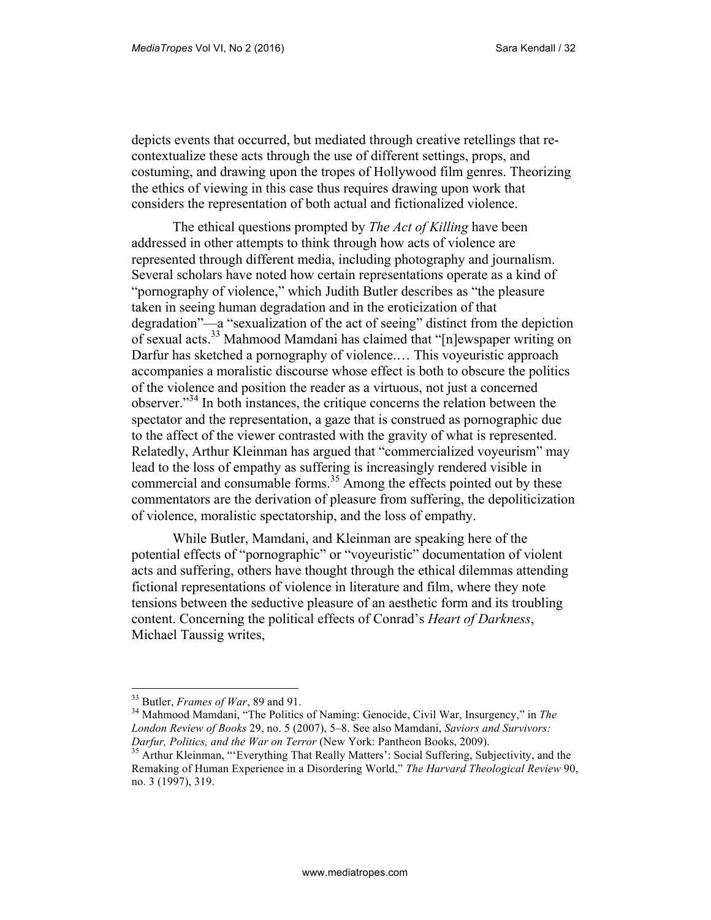depicts events that occurred, but mediated through creative retellings that recontextualize these acts through the use of different settings, props, and costuming, and drawing upon the tropes of Hollywood film genres. Theorizing the ethics of viewing in this case thus requires drawing upon work that considers the representation of both actual and fictionalized violence.

The ethical questions prompted by *The Act of Killing* have been addressed in other attempts to think through how acts of violence are represented through different media, including photography and journalism. Several scholars have noted how certain representations operate as a kind of "pornography of violence," which Judith Butler describes as "the pleasure taken in seeing human degradation and in the eroticization of that degradation"—a "sexualization of the act of seeing" distinct from the depiction of sexual acts.<sup>33</sup> Mahmood Mamdani has claimed that "[n]ewspaper writing on Darfur has sketched a pornography of violence.… This voyeuristic approach accompanies a moralistic discourse whose effect is both to obscure the politics of the violence and position the reader as a virtuous, not just a concerned observer."<sup>34</sup> In both instances, the critique concerns the relation between the spectator and the representation, a gaze that is construed as pornographic due to the affect of the viewer contrasted with the gravity of what is represented. Relatedly, Arthur Kleinman has argued that "commercialized voyeurism" may lead to the loss of empathy as suffering is increasingly rendered visible in commercial and consumable forms.<sup>35</sup> Among the effects pointed out by these commentators are the derivation of pleasure from suffering, the depoliticization of violence, moralistic spectatorship, and the loss of empathy.

While Butler, Mamdani, and Kleinman are speaking here of the potential effects of "pornographic" or "voyeuristic" documentation of violent acts and suffering, others have thought through the ethical dilemmas attending fictional representations of violence in literature and film, where they note tensions between the seductive pleasure of an aesthetic form and its troubling content. Concerning the political effects of Conrad's *Heart of Darkness*, Michael Taussig writes,

<sup>33</sup> Butler, *Frames of War*, 89 and 91.

<sup>34</sup> Mahmood Mamdani, "The Politics of Naming: Genocide, Civil War, Insurgency," in *The London Review of Books* 29, no. 5 (2007), 5–8. See also Mamdani, *Saviors and Survivors: Darfur, Politics, and the War on Terror* (New York: Pantheon Books, 2009).

<sup>&</sup>lt;sup>35</sup> Arthur Kleinman, "'Everything That Really Matters': Social Suffering, Subjectivity, and the Remaking of Human Experience in a Disordering World," *The Harvard Theological Review* 90, no. 3 (1997), 319.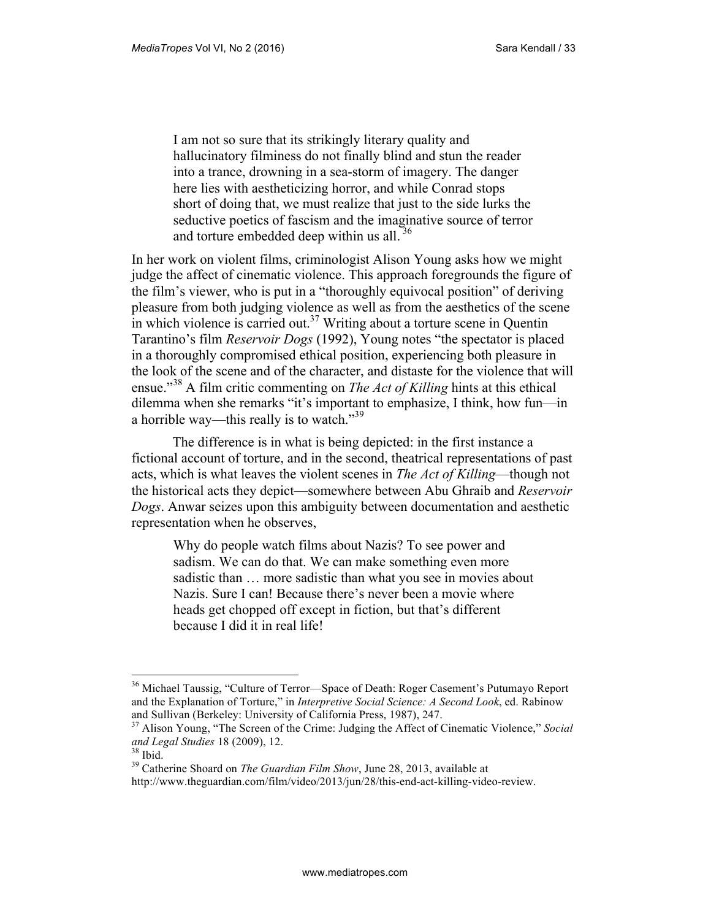I am not so sure that its strikingly literary quality and hallucinatory filminess do not finally blind and stun the reader into a trance, drowning in a sea-storm of imagery. The danger here lies with aestheticizing horror, and while Conrad stops short of doing that, we must realize that just to the side lurks the seductive poetics of fascism and the imaginative source of terror and torture embedded deep within us all. <sup>36</sup>

In her work on violent films, criminologist Alison Young asks how we might judge the affect of cinematic violence. This approach foregrounds the figure of the film's viewer, who is put in a "thoroughly equivocal position" of deriving pleasure from both judging violence as well as from the aesthetics of the scene in which violence is carried out.<sup>37</sup> Writing about a torture scene in Quentin Tarantino's film *Reservoir Dogs* (1992), Young notes "the spectator is placed in a thoroughly compromised ethical position, experiencing both pleasure in the look of the scene and of the character, and distaste for the violence that will ensue."<sup>38</sup> A film critic commenting on *The Act of Killing* hints at this ethical dilemma when she remarks "it's important to emphasize, I think, how fun—in a horrible way—this really is to watch."<sup>39</sup>

The difference is in what is being depicted: in the first instance a fictional account of torture, and in the second, theatrical representations of past acts, which is what leaves the violent scenes in *The Act of Killing*—though not the historical acts they depict—somewhere between Abu Ghraib and *Reservoir Dogs*. Anwar seizes upon this ambiguity between documentation and aesthetic representation when he observes,

Why do people watch films about Nazis? To see power and sadism. We can do that. We can make something even more sadistic than … more sadistic than what you see in movies about Nazis. Sure I can! Because there's never been a movie where heads get chopped off except in fiction, but that's different because I did it in real life!

<sup>&</sup>lt;sup>36</sup> Michael Taussig, "Culture of Terror-Space of Death: Roger Casement's Putumayo Report and the Explanation of Torture," in *Interpretive Social Science: A Second Look*, ed. Rabinow and Sullivan (Berkeley: University of California Press, 1987), 247.

<sup>37</sup> Alison Young, "The Screen of the Crime: Judging the Affect of Cinematic Violence," *Social and Legal Studies* 18 (2009), 12.

<sup>38</sup> Ibid.

<sup>39</sup> Catherine Shoard on *The Guardian Film Show*, June 28, 2013, available at

http://www.theguardian.com/film/video/2013/jun/28/this-end-act-killing-video-review.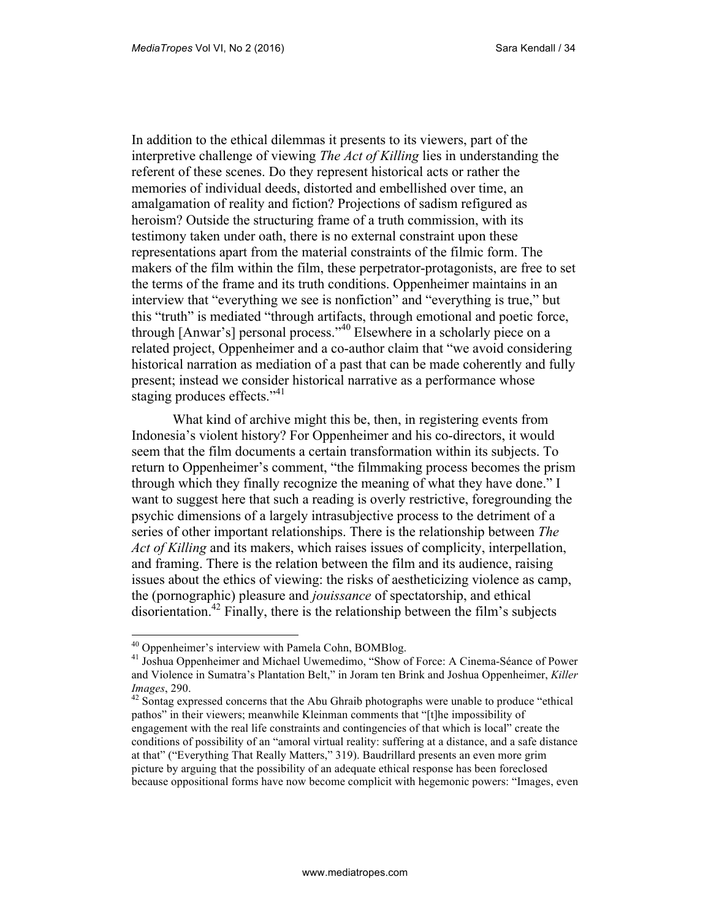In addition to the ethical dilemmas it presents to its viewers, part of the interpretive challenge of viewing *The Act of Killing* lies in understanding the referent of these scenes. Do they represent historical acts or rather the memories of individual deeds, distorted and embellished over time, an amalgamation of reality and fiction? Projections of sadism refigured as heroism? Outside the structuring frame of a truth commission, with its testimony taken under oath, there is no external constraint upon these representations apart from the material constraints of the filmic form. The makers of the film within the film, these perpetrator-protagonists, are free to set the terms of the frame and its truth conditions. Oppenheimer maintains in an interview that "everything we see is nonfiction" and "everything is true," but this "truth" is mediated "through artifacts, through emotional and poetic force, through [Anwar's] personal process."<sup>40</sup> Elsewhere in a scholarly piece on a related project, Oppenheimer and a co-author claim that "we avoid considering historical narration as mediation of a past that can be made coherently and fully present; instead we consider historical narrative as a performance whose staging produces effects."<sup>41</sup>

What kind of archive might this be, then, in registering events from Indonesia's violent history? For Oppenheimer and his co-directors, it would seem that the film documents a certain transformation within its subjects. To return to Oppenheimer's comment, "the filmmaking process becomes the prism through which they finally recognize the meaning of what they have done." I want to suggest here that such a reading is overly restrictive, foregrounding the psychic dimensions of a largely intrasubjective process to the detriment of a series of other important relationships. There is the relationship between *The Act of Killing* and its makers, which raises issues of complicity, interpellation, and framing. There is the relation between the film and its audience, raising issues about the ethics of viewing: the risks of aestheticizing violence as camp, the (pornographic) pleasure and *jouissance* of spectatorship, and ethical disorientation.<sup>42</sup> Finally, there is the relationship between the film's subjects

<sup>&</sup>lt;sup>40</sup> Oppenheimer's interview with Pamela Cohn, BOMBlog.

<sup>41</sup> Joshua Oppenheimer and Michael Uwemedimo, "Show of Force: A Cinema-Séance of Power and Violence in Sumatra's Plantation Belt," in Joram ten Brink and Joshua Oppenheimer, *Killer Images*, 290.

<sup>&</sup>lt;sup>42</sup> Sontag expressed concerns that the Abu Ghraib photographs were unable to produce "ethical" pathos" in their viewers; meanwhile Kleinman comments that "[t]he impossibility of engagement with the real life constraints and contingencies of that which is local" create the conditions of possibility of an "amoral virtual reality: suffering at a distance, and a safe distance at that" ("Everything That Really Matters," 319). Baudrillard presents an even more grim picture by arguing that the possibility of an adequate ethical response has been foreclosed because oppositional forms have now become complicit with hegemonic powers: "Images, even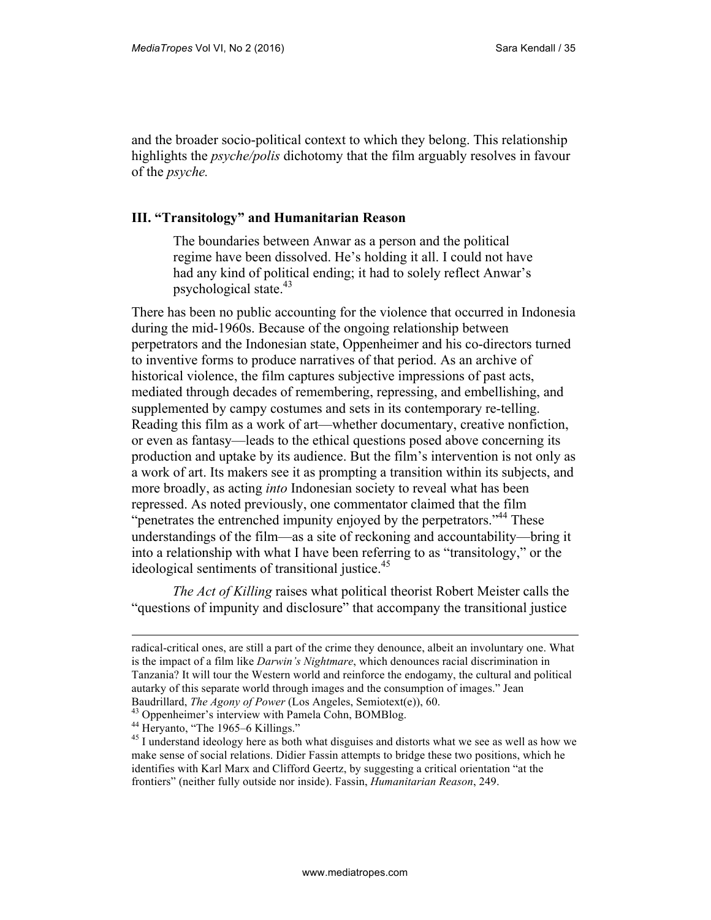and the broader socio-political context to which they belong. This relationship highlights the *psyche/polis* dichotomy that the film arguably resolves in favour of the *psyche.*

#### **III. "Transitology" and Humanitarian Reason**

The boundaries between Anwar as a person and the political regime have been dissolved. He's holding it all. I could not have had any kind of political ending; it had to solely reflect Anwar's psychological state. $43$ 

There has been no public accounting for the violence that occurred in Indonesia during the mid-1960s. Because of the ongoing relationship between perpetrators and the Indonesian state, Oppenheimer and his co-directors turned to inventive forms to produce narratives of that period. As an archive of historical violence, the film captures subjective impressions of past acts, mediated through decades of remembering, repressing, and embellishing, and supplemented by campy costumes and sets in its contemporary re-telling. Reading this film as a work of art—whether documentary, creative nonfiction, or even as fantasy—leads to the ethical questions posed above concerning its production and uptake by its audience. But the film's intervention is not only as a work of art. Its makers see it as prompting a transition within its subjects, and more broadly, as acting *into* Indonesian society to reveal what has been repressed. As noted previously, one commentator claimed that the film "penetrates the entrenched impunity enjoyed by the perpetrators."<sup>44</sup> These understandings of the film—as a site of reckoning and accountability—bring it into a relationship with what I have been referring to as "transitology," or the ideological sentiments of transitional justice.<sup>45</sup>

*The Act of Killing* raises what political theorist Robert Meister calls the "questions of impunity and disclosure" that accompany the transitional justice

radical-critical ones, are still a part of the crime they denounce, albeit an involuntary one. What is the impact of a film like *Darwin's Nightmare*, which denounces racial discrimination in Tanzania? It will tour the Western world and reinforce the endogamy, the cultural and political autarky of this separate world through images and the consumption of images." Jean Baudrillard, *The Agony of Power* (Los Angeles, Semiotext(e)), 60.

<sup>&</sup>lt;sup>43</sup> Oppenheimer's interview with Pamela Cohn, BOMBlog.

<sup>&</sup>lt;sup>44</sup> Heryanto, "The 1965–6 Killings."

<sup>&</sup>lt;sup>45</sup> I understand ideology here as both what disguises and distorts what we see as well as how we make sense of social relations. Didier Fassin attempts to bridge these two positions, which he identifies with Karl Marx and Clifford Geertz, by suggesting a critical orientation "at the frontiers" (neither fully outside nor inside). Fassin, *Humanitarian Reason*, 249.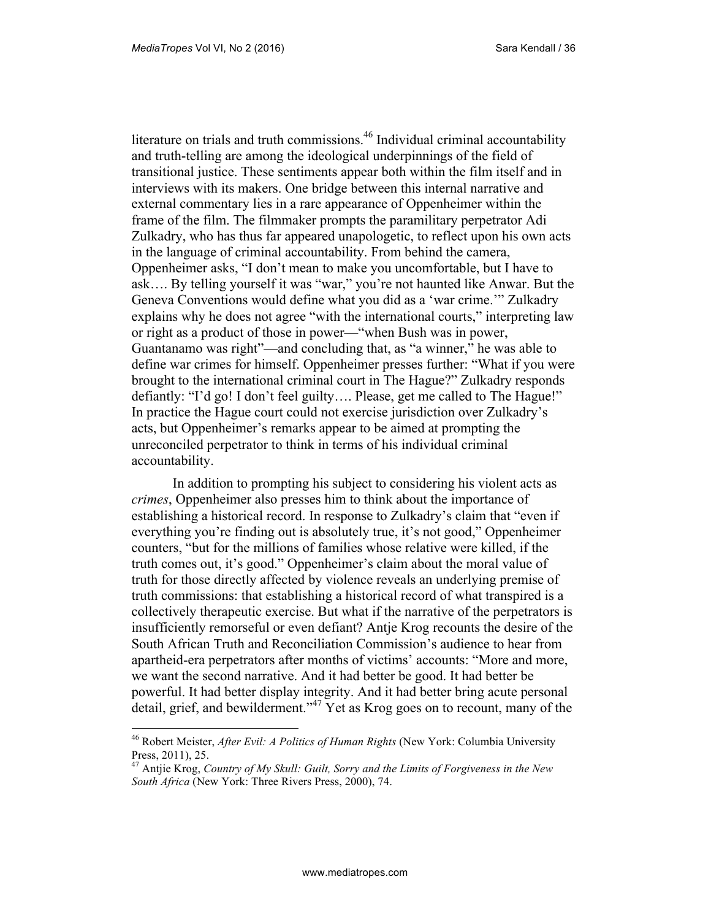$\overline{a}$ 

literature on trials and truth commissions.<sup>46</sup> Individual criminal accountability and truth-telling are among the ideological underpinnings of the field of transitional justice. These sentiments appear both within the film itself and in interviews with its makers. One bridge between this internal narrative and external commentary lies in a rare appearance of Oppenheimer within the frame of the film. The filmmaker prompts the paramilitary perpetrator Adi Zulkadry, who has thus far appeared unapologetic, to reflect upon his own acts in the language of criminal accountability. From behind the camera, Oppenheimer asks, "I don't mean to make you uncomfortable, but I have to ask…. By telling yourself it was "war," you're not haunted like Anwar. But the Geneva Conventions would define what you did as a 'war crime.'" Zulkadry explains why he does not agree "with the international courts," interpreting law or right as a product of those in power—"when Bush was in power, Guantanamo was right"—and concluding that, as "a winner," he was able to define war crimes for himself. Oppenheimer presses further: "What if you were brought to the international criminal court in The Hague?" Zulkadry responds defiantly: "I'd go! I don't feel guilty…. Please, get me called to The Hague!" In practice the Hague court could not exercise jurisdiction over Zulkadry's acts, but Oppenheimer's remarks appear to be aimed at prompting the unreconciled perpetrator to think in terms of his individual criminal accountability.

In addition to prompting his subject to considering his violent acts as *crimes*, Oppenheimer also presses him to think about the importance of establishing a historical record. In response to Zulkadry's claim that "even if everything you're finding out is absolutely true, it's not good," Oppenheimer counters, "but for the millions of families whose relative were killed, if the truth comes out, it's good." Oppenheimer's claim about the moral value of truth for those directly affected by violence reveals an underlying premise of truth commissions: that establishing a historical record of what transpired is a collectively therapeutic exercise. But what if the narrative of the perpetrators is insufficiently remorseful or even defiant? Antje Krog recounts the desire of the South African Truth and Reconciliation Commission's audience to hear from apartheid-era perpetrators after months of victims' accounts: "More and more, we want the second narrative. And it had better be good. It had better be powerful. It had better display integrity. And it had better bring acute personal detail, grief, and bewilderment."<sup>47</sup> Yet as Krog goes on to recount, many of the

<sup>46</sup> Robert Meister, *After Evil: A Politics of Human Rights* (New York: Columbia University Press, 2011), 25.

<sup>47</sup> Antjie Krog, *Country of My Skull: Guilt, Sorry and the Limits of Forgiveness in the New South Africa* (New York: Three Rivers Press, 2000), 74.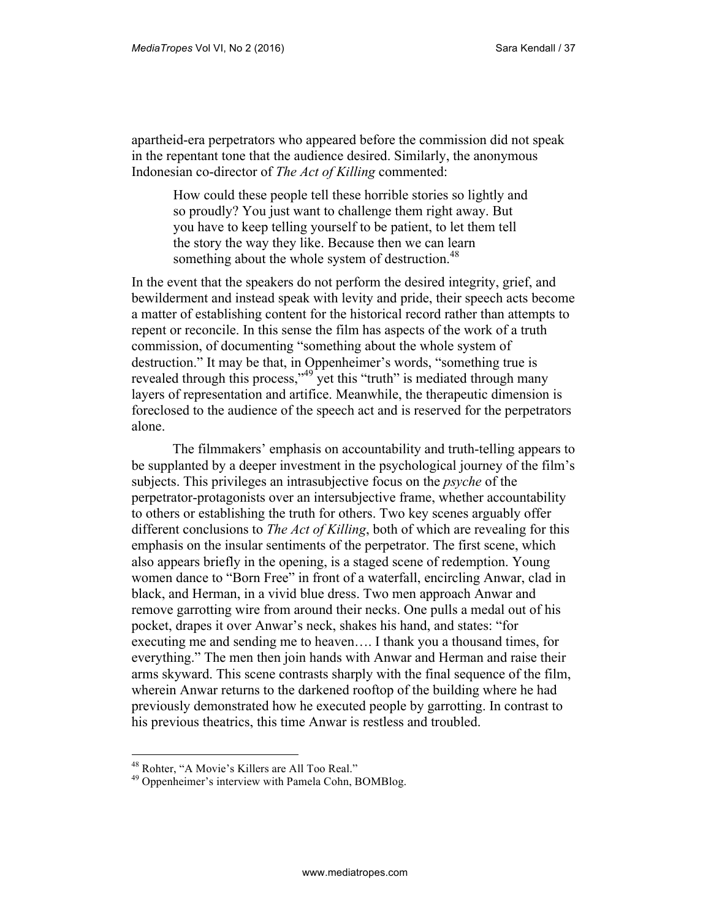apartheid-era perpetrators who appeared before the commission did not speak in the repentant tone that the audience desired. Similarly, the anonymous Indonesian co-director of *The Act of Killing* commented:

How could these people tell these horrible stories so lightly and so proudly? You just want to challenge them right away. But you have to keep telling yourself to be patient, to let them tell the story the way they like. Because then we can learn something about the whole system of destruction.<sup>48</sup>

In the event that the speakers do not perform the desired integrity, grief, and bewilderment and instead speak with levity and pride, their speech acts become a matter of establishing content for the historical record rather than attempts to repent or reconcile. In this sense the film has aspects of the work of a truth commission, of documenting "something about the whole system of destruction." It may be that, in Oppenheimer's words, "something true is revealed through this process,"<sup>49</sup> yet this "truth" is mediated through many layers of representation and artifice. Meanwhile, the therapeutic dimension is foreclosed to the audience of the speech act and is reserved for the perpetrators alone.

The filmmakers' emphasis on accountability and truth-telling appears to be supplanted by a deeper investment in the psychological journey of the film's subjects. This privileges an intrasubjective focus on the *psyche* of the perpetrator-protagonists over an intersubjective frame, whether accountability to others or establishing the truth for others. Two key scenes arguably offer different conclusions to *The Act of Killing*, both of which are revealing for this emphasis on the insular sentiments of the perpetrator. The first scene, which also appears briefly in the opening, is a staged scene of redemption. Young women dance to "Born Free" in front of a waterfall, encircling Anwar, clad in black, and Herman, in a vivid blue dress. Two men approach Anwar and remove garrotting wire from around their necks. One pulls a medal out of his pocket, drapes it over Anwar's neck, shakes his hand, and states: "for executing me and sending me to heaven…. I thank you a thousand times, for everything." The men then join hands with Anwar and Herman and raise their arms skyward. This scene contrasts sharply with the final sequence of the film, wherein Anwar returns to the darkened rooftop of the building where he had previously demonstrated how he executed people by garrotting. In contrast to his previous theatrics, this time Anwar is restless and troubled.

<sup>48</sup> Rohter, "A Movie's Killers are All Too Real."

<sup>49</sup> Oppenheimer's interview with Pamela Cohn, BOMBlog.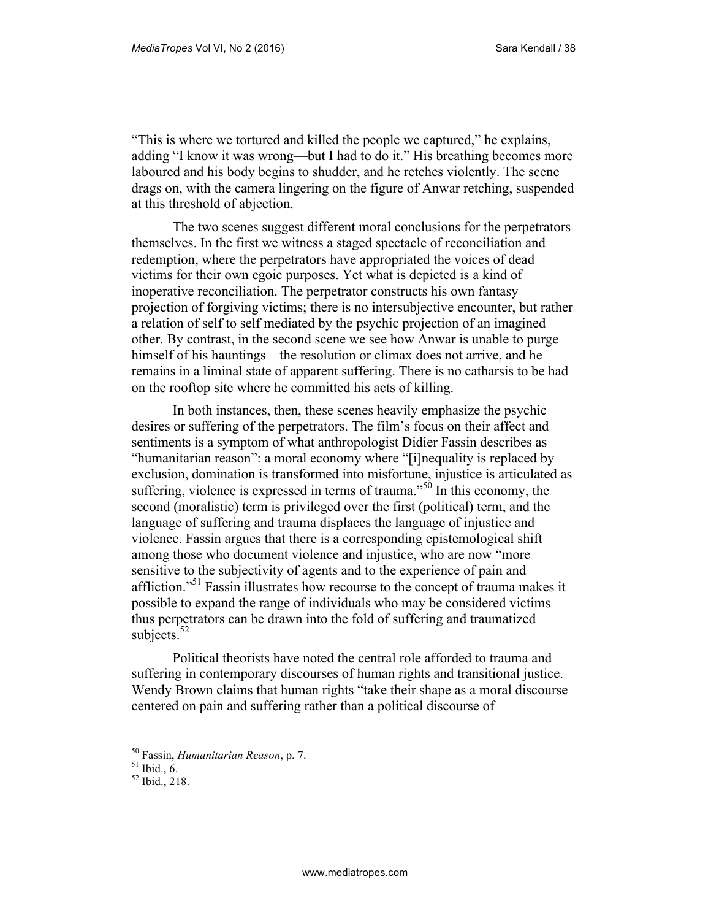"This is where we tortured and killed the people we captured," he explains, adding "I know it was wrong—but I had to do it." His breathing becomes more laboured and his body begins to shudder, and he retches violently. The scene drags on, with the camera lingering on the figure of Anwar retching, suspended at this threshold of abjection.

The two scenes suggest different moral conclusions for the perpetrators themselves. In the first we witness a staged spectacle of reconciliation and redemption, where the perpetrators have appropriated the voices of dead victims for their own egoic purposes. Yet what is depicted is a kind of inoperative reconciliation. The perpetrator constructs his own fantasy projection of forgiving victims; there is no intersubjective encounter, but rather a relation of self to self mediated by the psychic projection of an imagined other. By contrast, in the second scene we see how Anwar is unable to purge himself of his hauntings—the resolution or climax does not arrive, and he remains in a liminal state of apparent suffering. There is no catharsis to be had on the rooftop site where he committed his acts of killing.

In both instances, then, these scenes heavily emphasize the psychic desires or suffering of the perpetrators. The film's focus on their affect and sentiments is a symptom of what anthropologist Didier Fassin describes as "humanitarian reason": a moral economy where "[i]nequality is replaced by exclusion, domination is transformed into misfortune, injustice is articulated as suffering, violence is expressed in terms of trauma." $50$  In this economy, the second (moralistic) term is privileged over the first (political) term, and the language of suffering and trauma displaces the language of injustice and violence. Fassin argues that there is a corresponding epistemological shift among those who document violence and injustice, who are now "more sensitive to the subjectivity of agents and to the experience of pain and affliction."<sup>51</sup> Fassin illustrates how recourse to the concept of trauma makes it possible to expand the range of individuals who may be considered victims thus perpetrators can be drawn into the fold of suffering and traumatized subjects. $52$ 

Political theorists have noted the central role afforded to trauma and suffering in contemporary discourses of human rights and transitional justice. Wendy Brown claims that human rights "take their shape as a moral discourse centered on pain and suffering rather than a political discourse of

<sup>50</sup> Fassin, *Humanitarian Reason*, p. 7.

 $51$  Ibid., 6.

<sup>52</sup> Ibid., 218.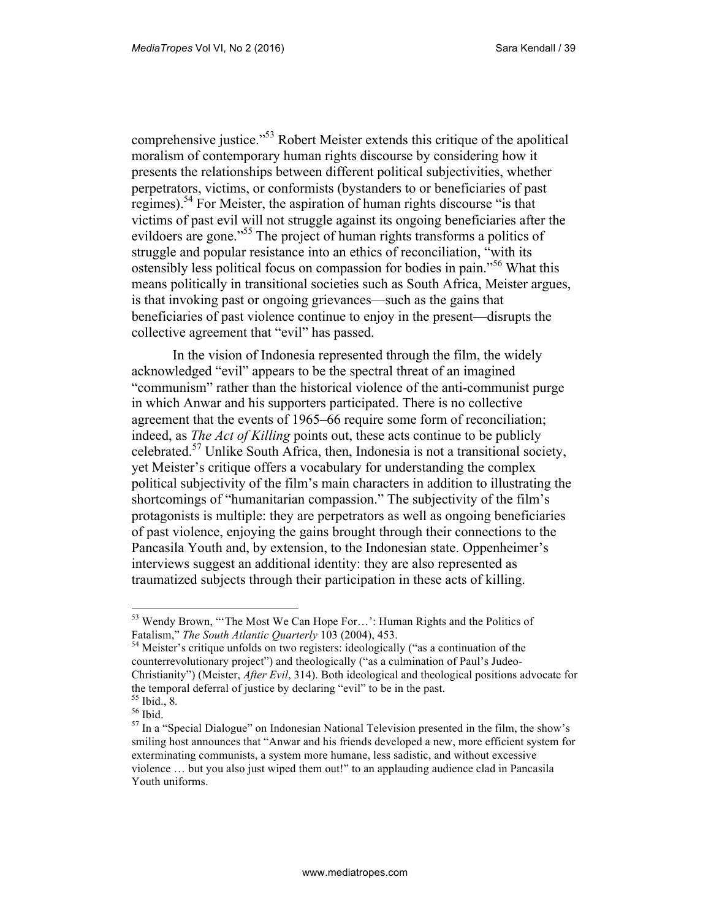comprehensive justice."<sup>53</sup> Robert Meister extends this critique of the apolitical moralism of contemporary human rights discourse by considering how it presents the relationships between different political subjectivities, whether perpetrators, victims, or conformists (bystanders to or beneficiaries of past regimes).<sup>54</sup> For Meister, the aspiration of human rights discourse "is that victims of past evil will not struggle against its ongoing beneficiaries after the evildoers are gone."<sup>55</sup> The project of human rights transforms a politics of struggle and popular resistance into an ethics of reconciliation, "with its ostensibly less political focus on compassion for bodies in pain.<sup>556</sup> What this means politically in transitional societies such as South Africa, Meister argues, is that invoking past or ongoing grievances—such as the gains that beneficiaries of past violence continue to enjoy in the present—disrupts the collective agreement that "evil" has passed.

In the vision of Indonesia represented through the film, the widely acknowledged "evil" appears to be the spectral threat of an imagined "communism" rather than the historical violence of the anti-communist purge in which Anwar and his supporters participated. There is no collective agreement that the events of 1965–66 require some form of reconciliation; indeed, as *The Act of Killing* points out, these acts continue to be publicly celebrated.<sup>57</sup> Unlike South Africa, then, Indonesia is not a transitional society, yet Meister's critique offers a vocabulary for understanding the complex political subjectivity of the film's main characters in addition to illustrating the shortcomings of "humanitarian compassion." The subjectivity of the film's protagonists is multiple: they are perpetrators as well as ongoing beneficiaries of past violence, enjoying the gains brought through their connections to the Pancasila Youth and, by extension, to the Indonesian state. Oppenheimer's interviews suggest an additional identity: they are also represented as traumatized subjects through their participation in these acts of killing.

<sup>&</sup>lt;sup>53</sup> Wendy Brown, "The Most We Can Hope For...': Human Rights and the Politics of Fatalism," *The South Atlantic Quarterly* 103 (2004), 453.

<sup>&</sup>lt;sup>54</sup> Meister's critique unfolds on two registers: ideologically ("as a continuation of the counterrevolutionary project") and theologically ("as a culmination of Paul's Judeo-Christianity") (Meister, *After Evil*, 314). Both ideological and theological positions advocate for the temporal deferral of justice by declaring "evil" to be in the past. <sup>55</sup> Ibid., 8*.* 

<sup>56</sup> Ibid.

<sup>&</sup>lt;sup>57</sup> In a "Special Dialogue" on Indonesian National Television presented in the film, the show's smiling host announces that "Anwar and his friends developed a new, more efficient system for exterminating communists, a system more humane, less sadistic, and without excessive violence … but you also just wiped them out!" to an applauding audience clad in Pancasila Youth uniforms.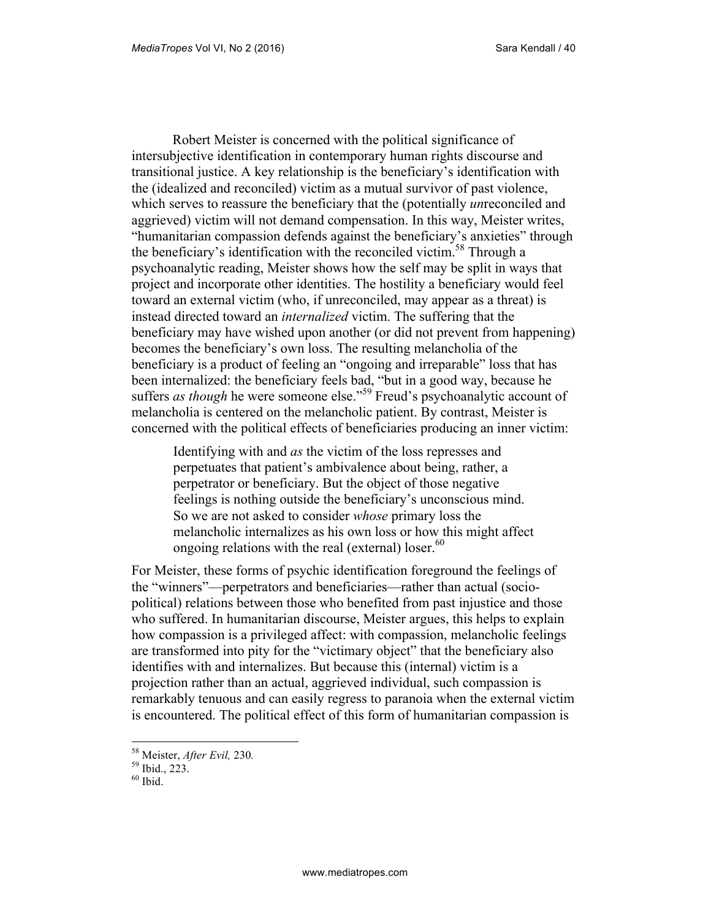Robert Meister is concerned with the political significance of intersubjective identification in contemporary human rights discourse and transitional justice. A key relationship is the beneficiary's identification with the (idealized and reconciled) victim as a mutual survivor of past violence, which serves to reassure the beneficiary that the (potentially *un*reconciled and aggrieved) victim will not demand compensation. In this way, Meister writes, "humanitarian compassion defends against the beneficiary's anxieties" through the beneficiary's identification with the reconciled victim.<sup>58</sup> Through a psychoanalytic reading, Meister shows how the self may be split in ways that project and incorporate other identities. The hostility a beneficiary would feel toward an external victim (who, if unreconciled, may appear as a threat) is instead directed toward an *internalized* victim. The suffering that the beneficiary may have wished upon another (or did not prevent from happening) becomes the beneficiary's own loss. The resulting melancholia of the beneficiary is a product of feeling an "ongoing and irreparable" loss that has been internalized: the beneficiary feels bad, "but in a good way, because he suffers *as though* he were someone else."<sup>59</sup> Freud's psychoanalytic account of melancholia is centered on the melancholic patient. By contrast, Meister is concerned with the political effects of beneficiaries producing an inner victim:

Identifying with and *as* the victim of the loss represses and perpetuates that patient's ambivalence about being, rather, a perpetrator or beneficiary. But the object of those negative feelings is nothing outside the beneficiary's unconscious mind. So we are not asked to consider *whose* primary loss the melancholic internalizes as his own loss or how this might affect ongoing relations with the real (external) loser. $60$ 

For Meister, these forms of psychic identification foreground the feelings of the "winners"—perpetrators and beneficiaries—rather than actual (sociopolitical) relations between those who benefited from past injustice and those who suffered. In humanitarian discourse, Meister argues, this helps to explain how compassion is a privileged affect: with compassion, melancholic feelings are transformed into pity for the "victimary object" that the beneficiary also identifies with and internalizes. But because this (internal) victim is a projection rather than an actual, aggrieved individual, such compassion is remarkably tenuous and can easily regress to paranoia when the external victim is encountered. The political effect of this form of humanitarian compassion is

<sup>58</sup> Meister, *After Evil,* 230*.* 

 $59$  Ibid., 223.

 $60$  Ibid.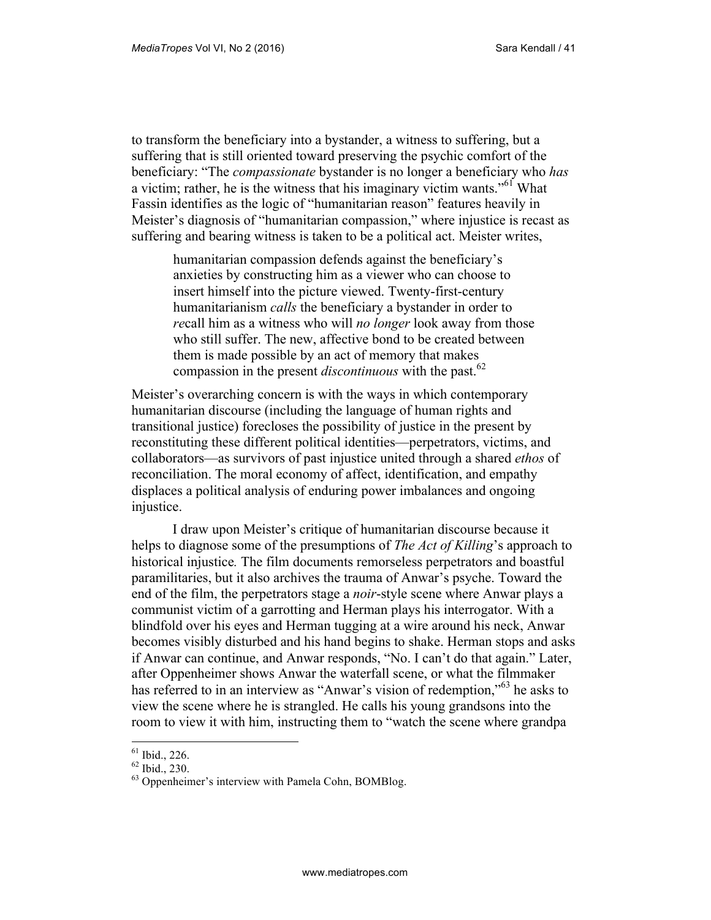to transform the beneficiary into a bystander, a witness to suffering, but a suffering that is still oriented toward preserving the psychic comfort of the beneficiary: "The *compassionate* bystander is no longer a beneficiary who *has* a victim; rather, he is the witness that his imaginary victim wants."<sup>61</sup> What Fassin identifies as the logic of "humanitarian reason" features heavily in Meister's diagnosis of "humanitarian compassion," where injustice is recast as suffering and bearing witness is taken to be a political act. Meister writes,

humanitarian compassion defends against the beneficiary's anxieties by constructing him as a viewer who can choose to insert himself into the picture viewed. Twenty-first-century humanitarianism *calls* the beneficiary a bystander in order to *re*call him as a witness who will *no longer* look away from those who still suffer. The new, affective bond to be created between them is made possible by an act of memory that makes compassion in the present *discontinuous* with the past.<sup>62</sup>

Meister's overarching concern is with the ways in which contemporary humanitarian discourse (including the language of human rights and transitional justice) forecloses the possibility of justice in the present by reconstituting these different political identities—perpetrators, victims, and collaborators—as survivors of past injustice united through a shared *ethos* of reconciliation. The moral economy of affect, identification, and empathy displaces a political analysis of enduring power imbalances and ongoing injustice.

I draw upon Meister's critique of humanitarian discourse because it helps to diagnose some of the presumptions of *The Act of Killing*'s approach to historical injustice*.* The film documents remorseless perpetrators and boastful paramilitaries, but it also archives the trauma of Anwar's psyche. Toward the end of the film, the perpetrators stage a *noir*-style scene where Anwar plays a communist victim of a garrotting and Herman plays his interrogator. With a blindfold over his eyes and Herman tugging at a wire around his neck, Anwar becomes visibly disturbed and his hand begins to shake. Herman stops and asks if Anwar can continue, and Anwar responds, "No. I can't do that again." Later, after Oppenheimer shows Anwar the waterfall scene, or what the filmmaker has referred to in an interview as "Anwar's vision of redemption,"<sup>63</sup> he asks to view the scene where he is strangled. He calls his young grandsons into the room to view it with him, instructing them to "watch the scene where grandpa

 $61$  Ibid., 226.

<sup>62</sup> Ibid., 230.

<sup>63</sup> Oppenheimer's interview with Pamela Cohn, BOMBlog.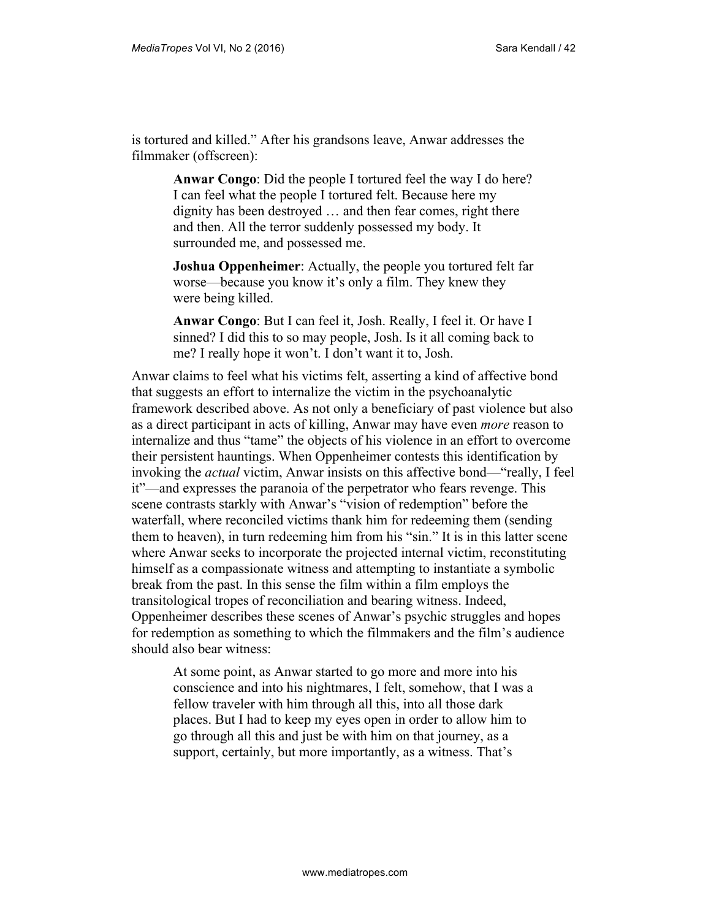is tortured and killed." After his grandsons leave, Anwar addresses the filmmaker (offscreen):

> **Anwar Congo**: Did the people I tortured feel the way I do here? I can feel what the people I tortured felt. Because here my dignity has been destroyed … and then fear comes, right there and then. All the terror suddenly possessed my body. It surrounded me, and possessed me.

> **Joshua Oppenheimer**: Actually, the people you tortured felt far worse—because you know it's only a film. They knew they were being killed.

> **Anwar Congo**: But I can feel it, Josh. Really, I feel it. Or have I sinned? I did this to so may people, Josh. Is it all coming back to me? I really hope it won't. I don't want it to, Josh.

Anwar claims to feel what his victims felt, asserting a kind of affective bond that suggests an effort to internalize the victim in the psychoanalytic framework described above. As not only a beneficiary of past violence but also as a direct participant in acts of killing, Anwar may have even *more* reason to internalize and thus "tame" the objects of his violence in an effort to overcome their persistent hauntings. When Oppenheimer contests this identification by invoking the *actual* victim, Anwar insists on this affective bond—"really, I feel it"—and expresses the paranoia of the perpetrator who fears revenge. This scene contrasts starkly with Anwar's "vision of redemption" before the waterfall, where reconciled victims thank him for redeeming them (sending them to heaven), in turn redeeming him from his "sin." It is in this latter scene where Anwar seeks to incorporate the projected internal victim, reconstituting himself as a compassionate witness and attempting to instantiate a symbolic break from the past. In this sense the film within a film employs the transitological tropes of reconciliation and bearing witness. Indeed, Oppenheimer describes these scenes of Anwar's psychic struggles and hopes for redemption as something to which the filmmakers and the film's audience should also bear witness:

At some point, as Anwar started to go more and more into his conscience and into his nightmares, I felt, somehow, that I was a fellow traveler with him through all this, into all those dark places. But I had to keep my eyes open in order to allow him to go through all this and just be with him on that journey, as a support, certainly, but more importantly, as a witness. That's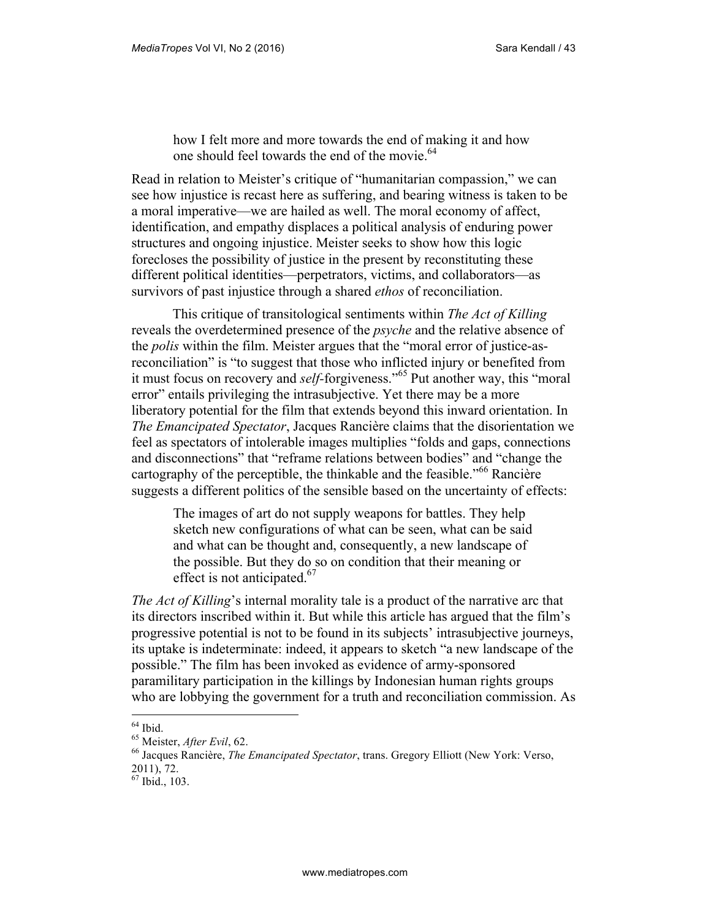how I felt more and more towards the end of making it and how one should feel towards the end of the movie.<sup>64</sup>

Read in relation to Meister's critique of "humanitarian compassion," we can see how injustice is recast here as suffering, and bearing witness is taken to be a moral imperative—we are hailed as well. The moral economy of affect, identification, and empathy displaces a political analysis of enduring power structures and ongoing injustice. Meister seeks to show how this logic forecloses the possibility of justice in the present by reconstituting these different political identities—perpetrators, victims, and collaborators—as survivors of past injustice through a shared *ethos* of reconciliation.

This critique of transitological sentiments within *The Act of Killing* reveals the overdetermined presence of the *psyche* and the relative absence of the *polis* within the film. Meister argues that the "moral error of justice-asreconciliation" is "to suggest that those who inflicted injury or benefited from it must focus on recovery and *self-*forgiveness."<sup>65</sup> Put another way, this "moral error" entails privileging the intrasubjective. Yet there may be a more liberatory potential for the film that extends beyond this inward orientation. In *The Emancipated Spectator*, Jacques Rancière claims that the disorientation we feel as spectators of intolerable images multiplies "folds and gaps, connections and disconnections" that "reframe relations between bodies" and "change the cartography of the perceptible, the thinkable and the feasible.<sup> $166$ </sup> Rancière suggests a different politics of the sensible based on the uncertainty of effects:

The images of art do not supply weapons for battles. They help sketch new configurations of what can be seen, what can be said and what can be thought and, consequently, a new landscape of the possible. But they do so on condition that their meaning or effect is not anticipated.<sup>67</sup>

*The Act of Killing*'s internal morality tale is a product of the narrative arc that its directors inscribed within it. But while this article has argued that the film's progressive potential is not to be found in its subjects' intrasubjective journeys, its uptake is indeterminate: indeed, it appears to sketch "a new landscape of the possible." The film has been invoked as evidence of army-sponsored paramilitary participation in the killings by Indonesian human rights groups who are lobbying the government for a truth and reconciliation commission. As

 $64$  Ibid.

<sup>65</sup> Meister, *After Evil*, 62.

<sup>66</sup> Jacques Rancière, *The Emancipated Spectator*, trans. Gregory Elliott (New York: Verso,

<sup>2011), 72.</sup>

<sup>67</sup> Ibid., 103.